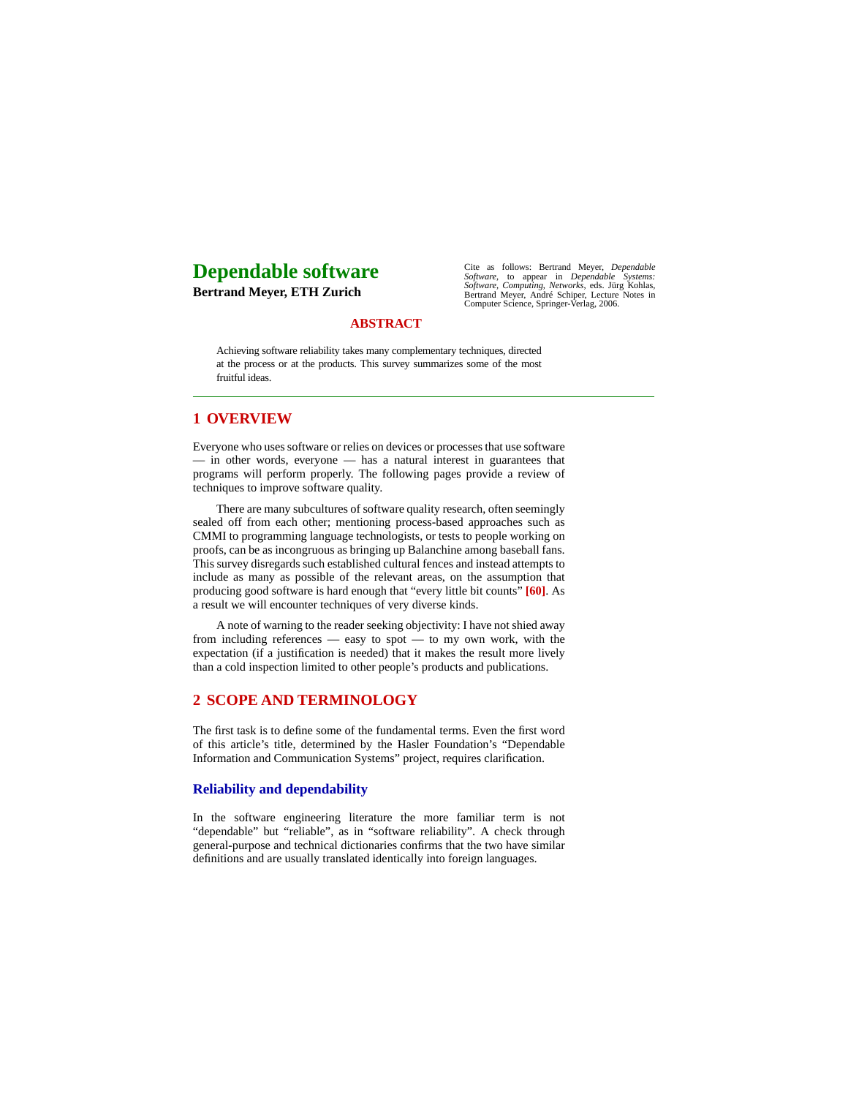# **Dependable software**

**Bertrand Meyer, ETH Zurich**

Cite as follows: Bertrand Meyer, *Dependable Software*, to appear in *Dependable Systems: Software, Computing, Networks*, eds. Jürg Kohlas, Bertrand Meyer, André Schiper, Lecture Notes in Computer Science, Springer-Verlag, 2006.

### **ABSTRACT**

Achieving software reliability takes many complementary techniques, directed at the process or at the products. This survey summarizes some of the most fruitful ideas.

## **1 OVERVIEW**

Everyone who uses software or relies on devices or processes that use software — in other words, everyone — has a natural interest in guarantees that programs will perform properly. The following pages provide a review of techniques to improve software quality.

There are many subcultures of software quality research, often seemingly sealed off from each other; mentioning process-based approaches such as CMMI to programming language technologists, or tests to people working on proofs, can be as incongruous as bringing up Balanchine among baseball fans. This survey disregards such established cultural fences and instead attempts to include as many as possible of the relevant areas, on the assumption that producing good software is hard enough that "every little bit counts" **[\[60\]](#page-40-0)**. As a result we will encounter techniques of very diverse kinds.

A note of warning to the reader seeking objectivity: I have not shied away from including references — easy to spot — to my own work, with the expectation (if a justification is needed) that it makes the result more lively than a cold inspection limited to other people's products and publications.

## **2 SCOPE AND TERMINOLOGY**

The first task is to define some of the fundamental terms. Even the first word of this article's title, determined by the Hasler Foundation's "Dependable Information and Communication Systems" project, requires clarification.

## **Reliability and dependability**

In the software engineering literature the more familiar term is not "dependable" but "reliable", as in "software reliability". A check through general-purpose and technical dictionaries confirms that the two have similar definitions and are usually translated identically into foreign languages.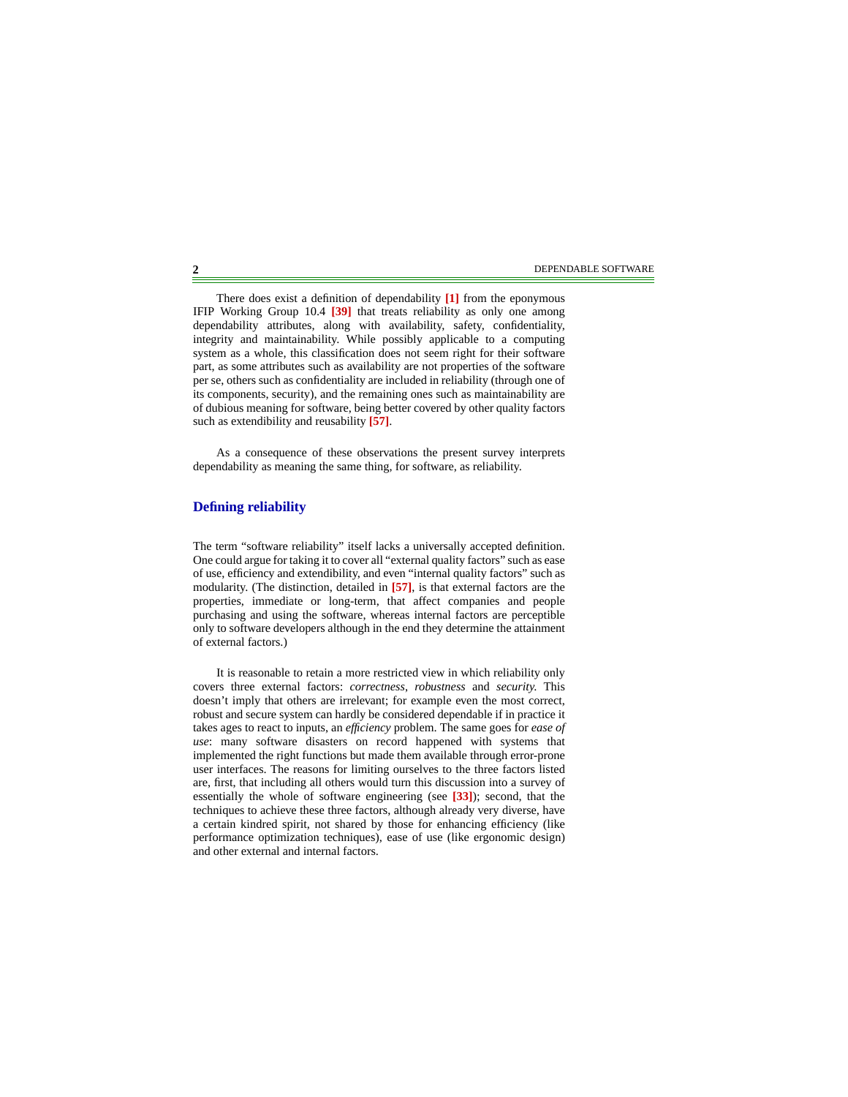There does exist a definition of dependability **[\[1\]](#page-35-0)** from the eponymous IFIP Working Group 10.4 **[\[39\]](#page-38-0)** that treats reliability as only one among dependability attributes, along with availability, safety, confidentiality, integrity and maintainability. While possibly applicable to a computing system as a whole, this classification does not seem right for their software part, as some attributes such as availability are not properties of the software per se, others such as confidentiality are included in reliability (through one of its components, security), and the remaining ones such as maintainability are of dubious meaning for software, being better covered by other quality factors such as extendibility and reusability **[\[57\]](#page-40-1)**.

As a consequence of these observations the present survey interprets dependability as meaning the same thing, for software, as reliability.

#### **Defining reliability**

The term "software reliability" itself lacks a universally accepted definition. One could argue for taking it to cover all "external quality factors" such as ease of use, efficiency and extendibility, and even "internal quality factors" such as modularity. (The distinction, detailed in **[\[57\]](#page-40-1)**, is that external factors are the properties, immediate or long-term, that affect companies and people purchasing and using the software, whereas internal factors are perceptible only to software developers although in the end they determine the attainment of external factors.)

It is reasonable to retain a more restricted view in which reliability only covers three external factors: *correctness*, *robustness* and *security*. This doesn't imply that others are irrelevant; for example even the most correct, robust and secure system can hardly be considered dependable if in practice it takes ages to react to inputs, an *efficiency* problem. The same goes for *ease of use*: many software disasters on record happened with systems that implemented the right functions but made them available through error-prone user interfaces. The reasons for limiting ourselves to the three factors listed are, first, that including all others would turn this discussion into a survey of essentially the whole of software engineering (see **[\[33\]](#page-38-1)**); second, that the techniques to achieve these three factors, although already very diverse, have a certain kindred spirit, not shared by those for enhancing efficiency (like performance optimization techniques), ease of use (like ergonomic design) and other external and internal factors.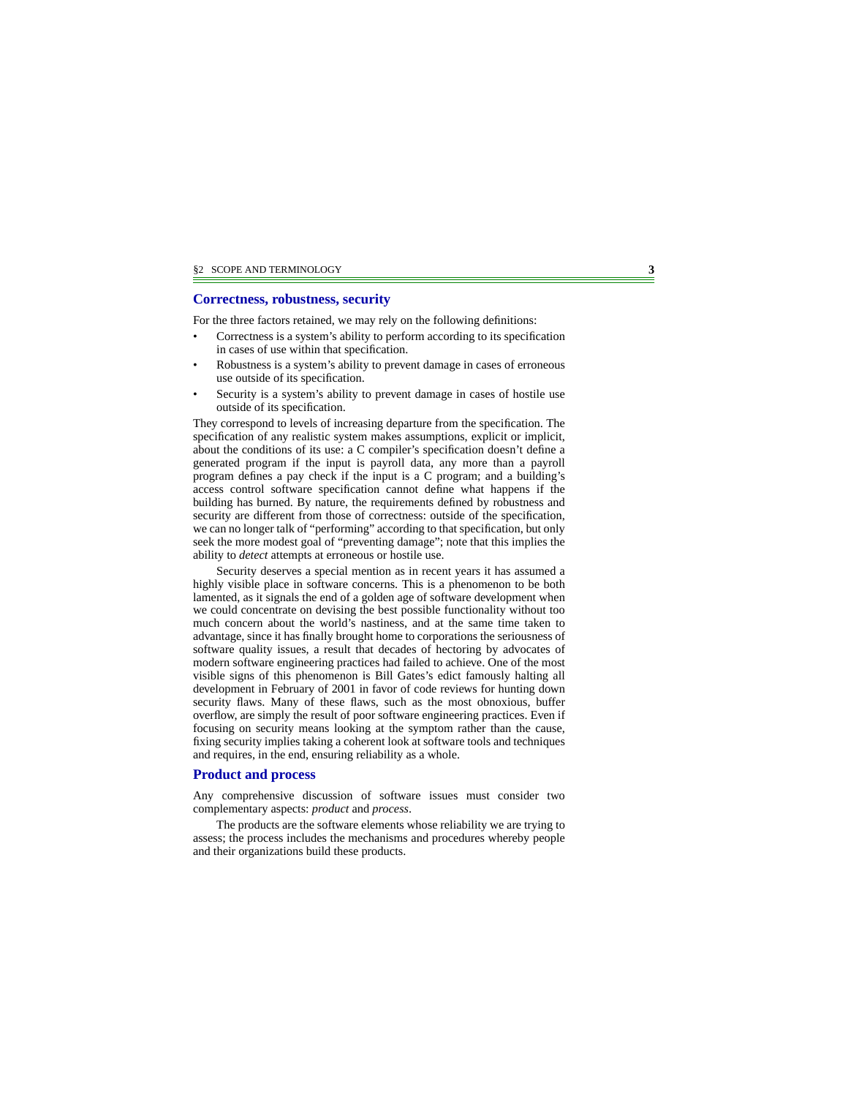#### **Correctness, robustness, security**

For the three factors retained, we may rely on the following definitions:

- Correctness is a system's ability to perform according to its specification in cases of use within that specification.
- Robustness is a system's ability to prevent damage in cases of erroneous use outside of its specification.
- Security is a system's ability to prevent damage in cases of hostile use outside of its specification.

They correspond to levels of increasing departure from the specification. The specification of any realistic system makes assumptions, explicit or implicit, about the conditions of its use: a C compiler's specification doesn't define a generated program if the input is payroll data, any more than a payroll program defines a pay check if the input is a C program; and a building's access control software specification cannot define what happens if the building has burned. By nature, the requirements defined by robustness and security are different from those of correctness: outside of the specification, we can no longer talk of "performing" according to that specification, but only seek the more modest goal of "preventing damage"; note that this implies the ability to *detect* attempts at erroneous or hostile use.

Security deserves a special mention as in recent years it has assumed a highly visible place in software concerns. This is a phenomenon to be both lamented, as it signals the end of a golden age of software development when we could concentrate on devising the best possible functionality without too much concern about the world's nastiness, and at the same time taken to advantage, since it has finally brought home to corporations the seriousness of software quality issues, a result that decades of hectoring by advocates of modern software engineering practices had failed to achieve. One of the most visible signs of this phenomenon is Bill Gates's edict famously halting all development in February of 2001 in favor of code reviews for hunting down security flaws. Many of these flaws, such as the most obnoxious, buffer overflow, are simply the result of poor software engineering practices. Even if focusing on security means looking at the symptom rather than the cause, fixing security implies taking a coherent look at software tools and techniques and requires, in the end, ensuring reliability as a whole.

#### **Product and process**

Any comprehensive discussion of software issues must consider two complementary aspects: *product* and *process*.

The products are the software elements whose reliability we are trying to assess; the process includes the mechanisms and procedures whereby people and their organizations build these products.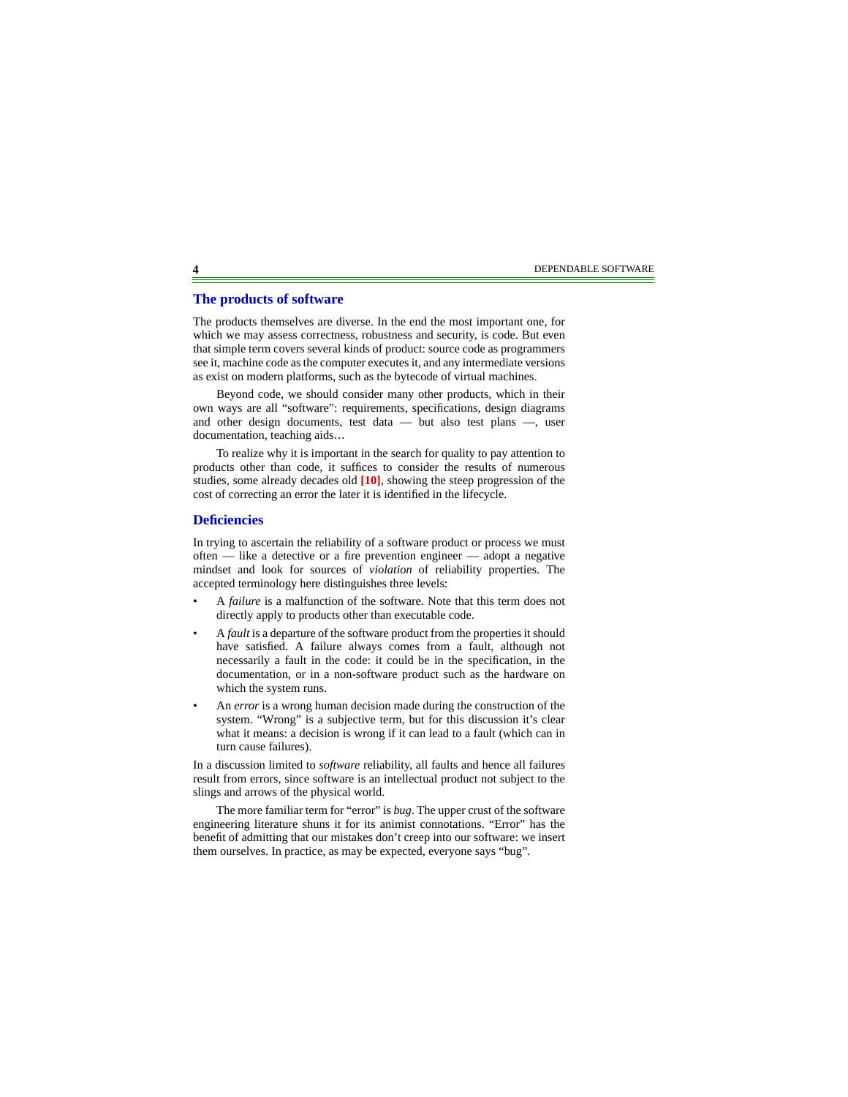### **The products of software**

The products themselves are diverse. In the end the most important one, for which we may assess correctness, robustness and security, is code. But even that simple term covers several kinds of product: source code as programmers see it, machine code as the computer executes it, and any intermediate versions as exist on modern platforms, such as the bytecode of virtual machines.

Beyond code, we should consider many other products, which in their own ways are all "software": requirements, specifications, design diagrams and other design documents, test data — but also test plans —, user documentation, teaching aids…

To realize why it is important in the search for quality to pay attention to products other than code, it suffices to consider the results of numerous studies, some already decades old **[\[10\]](#page-36-0)**, showing the steep progression of the cost of correcting an error the later it is identified in the lifecycle.

## **Deficiencies**

In trying to ascertain the reliability of a software product or process we must often — like a detective or a fire prevention engineer — adopt a negative mindset and look for sources of *violation* of reliability properties. The accepted terminology here distinguishes three levels:

- A *failure* is a malfunction of the software. Note that this term does not directly apply to products other than executable code.
- A *fault* is a departure of the software product from the properties it should have satisfied. A failure always comes from a fault, although not necessarily a fault in the code: it could be in the specification, in the documentation, or in a non-software product such as the hardware on which the system runs.
- An *error* is a wrong human decision made during the construction of the system. "Wrong" is a subjective term, but for this discussion it's clear what it means: a decision is wrong if it can lead to a fault (which can in turn cause failures).

In a discussion limited to *software* reliability, all faults and hence all failures result from errors, since software is an intellectual product not subject to the slings and arrows of the physical world.

The more familiar term for "error" is *bug*. The upper crust of the software engineering literature shuns it for its animist connotations. "Error" has the benefit of admitting that our mistakes don't creep into our software: we insert them ourselves. In practice, as may be expected, everyone says "bug".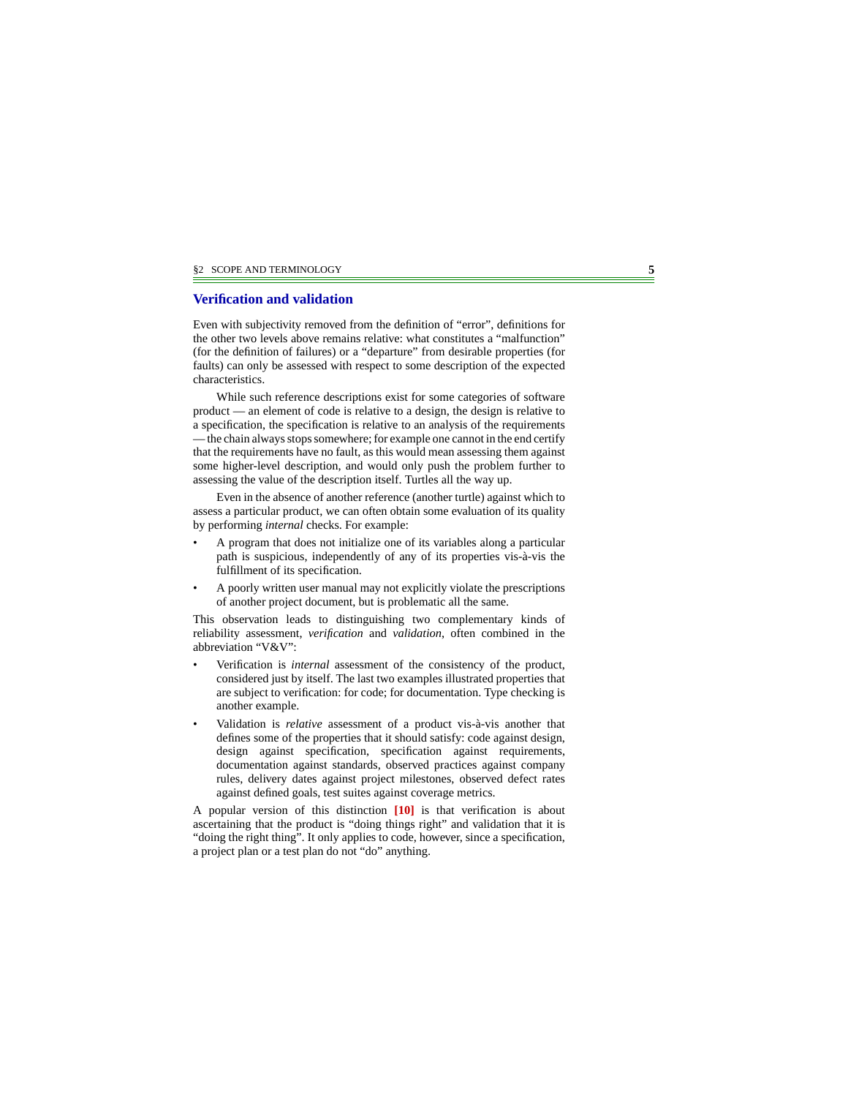### **Verification and validation**

Even with subjectivity removed from the definition of "error", definitions for the other two levels above remains relative: what constitutes a "malfunction" (for the definition of failures) or a "departure" from desirable properties (for faults) can only be assessed with respect to some description of the expected characteristics.

While such reference descriptions exist for some categories of software product — an element of code is relative to a design, the design is relative to a specification, the specification is relative to an analysis of the requirements — the chain always stops somewhere; for example one cannot in the end certify that the requirements have no fault, as this would mean assessing them against some higher-level description, and would only push the problem further to assessing the value of the description itself. Turtles all the way up.

Even in the absence of another reference (another turtle) against which to assess a particular product, we can often obtain some evaluation of its quality by performing *internal* checks. For example:

- A program that does not initialize one of its variables along a particular path is suspicious, independently of any of its properties vis-à-vis the fulfillment of its specification.
- A poorly written user manual may not explicitly violate the prescriptions of another project document, but is problematic all the same.

This observation leads to distinguishing two complementary kinds of reliability assessment, *verification* and *validation*, often combined in the abbreviation "V&V":

- Verification is *internal* assessment of the consistency of the product, considered just by itself. The last two examples illustrated properties that are subject to verification: for code; for documentation. Type checking is another example.
- Validation is *relative* assessment of a product vis-à-vis another that defines some of the properties that it should satisfy: code against design, design against specification, specification against requirements, documentation against standards, observed practices against company rules, delivery dates against project milestones, observed defect rates against defined goals, test suites against coverage metrics.

A popular version of this distinction **[\[10\]](#page-36-0)** is that verification is about ascertaining that the product is "doing things right" and validation that it is "doing the right thing". It only applies to code, however, since a specification, a project plan or a test plan do not "do" anything.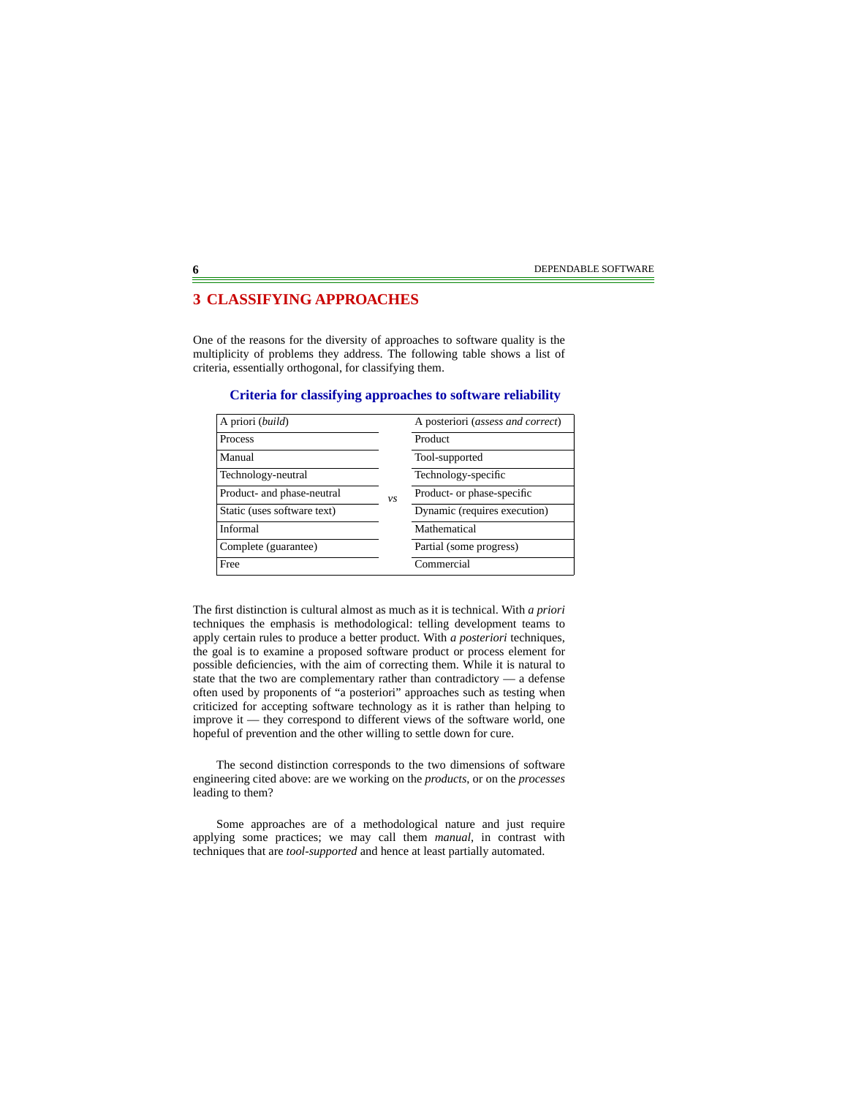## **3 CLASSIFYING APPROACHES**

One of the reasons for the diversity of approaches to software quality is the multiplicity of problems they address. The following table shows a list of criteria, essentially orthogonal, for classifying them.

| A priori (build)            | νs | A posteriori (assess and correct) |
|-----------------------------|----|-----------------------------------|
| Process                     |    | Product                           |
| Manual                      |    | Tool-supported                    |
| Technology-neutral          |    | Technology-specific               |
| Product- and phase-neutral  |    | Product- or phase-specific        |
| Static (uses software text) |    | Dynamic (requires execution)      |
| Informal                    |    | Mathematical                      |
| Complete (guarantee)        |    | Partial (some progress)           |
| Free                        |    | Commercial                        |

### **Criteria for classifying approaches to software reliability**

The first distinction is cultural almost as much as it is technical. With *a priori* techniques the emphasis is methodological: telling development teams to apply certain rules to produce a better product. With *a posteriori* techniques, the goal is to examine a proposed software product or process element for possible deficiencies, with the aim of correcting them. While it is natural to state that the two are complementary rather than contradictory — a defense often used by proponents of "a posteriori" approaches such as testing when criticized for accepting software technology as it is rather than helping to improve it — they correspond to different views of the software world, one hopeful of prevention and the other willing to settle down for cure.

The second distinction corresponds to the two dimensions of software engineering cited above: are we working on the *products*, or on the *processes* leading to them?

Some approaches are of a methodological nature and just require applying some practices; we may call them *manual*, in contrast with techniques that are *tool-supported* and hence at least partially automated.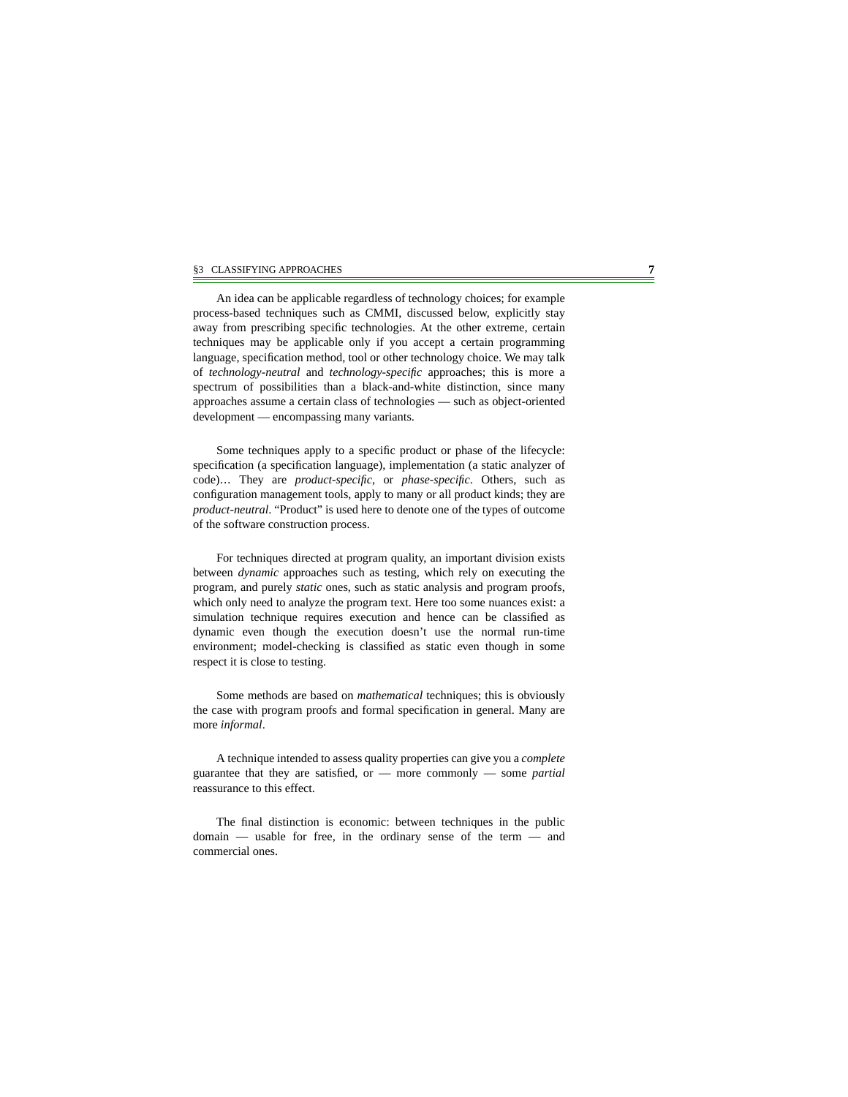An idea can be applicable regardless of technology choices; for example process-based techniques such as CMMI, discussed below, explicitly stay away from prescribing specific technologies. At the other extreme, certain techniques may be applicable only if you accept a certain programming language, specification method, tool or other technology choice. We may talk of *technology-neutral* and *technology-specific* approaches; this is more a spectrum of possibilities than a black-and-white distinction, since many approaches assume a certain class of technologies — such as object-oriented development — encompassing many variants.

Some techniques apply to a specific product or phase of the lifecycle: specification (a specification language), implementation (a static analyzer of code)… They are *product-specific*, or *phase-specific*. Others, such as configuration management tools, apply to many or all product kinds; they are *product-neutral*. "Product" is used here to denote one of the types of outcome of the software construction process.

For techniques directed at program quality, an important division exists between *dynamic* approaches such as testing, which rely on executing the program, and purely *static* ones, such as static analysis and program proofs, which only need to analyze the program text. Here too some nuances exist: a simulation technique requires execution and hence can be classified as dynamic even though the execution doesn't use the normal run-time environment; model-checking is classified as static even though in some respect it is close to testing.

Some methods are based on *mathematical* techniques; this is obviously the case with program proofs and formal specification in general. Many are more *informal*.

A technique intended to assess quality properties can give you a *complete* guarantee that they are satisfied, or — more commonly — some *partial* reassurance to this effect.

The final distinction is economic: between techniques in the public domain — usable for free, in the ordinary sense of the term — and commercial ones.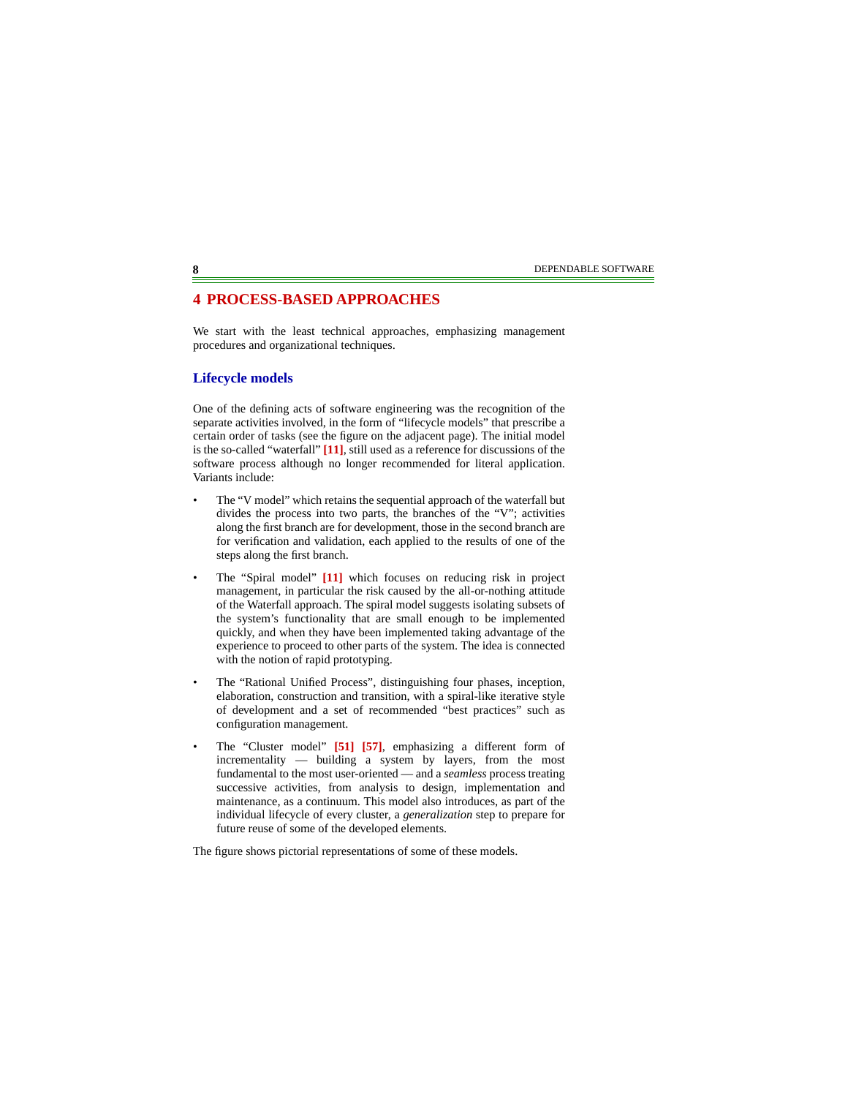## **4 PROCESS-BASED APPROACHES**

We start with the least technical approaches, emphasizing management procedures and organizational techniques.

## **Lifecycle models**

One of the defining acts of software engineering was the recognition of the separate activities involved, in the form of "lifecycle models" that prescribe a certain order of tasks (see the figure on the adjacent page). The initial model is the so-called "waterfall" **[\[11\]](#page-36-1)**, still used as a reference for discussions of the software process although no longer recommended for literal application. Variants include:

- The "V model" which retains the sequential approach of the waterfall but divides the process into two parts, the branches of the "V"; activities along the first branch are for development, those in the second branch are for verification and validation, each applied to the results of one of the steps along the first branch.
- The "Spiral model" **[\[11\]](#page-36-1)** which focuses on reducing risk in project management, in particular the risk caused by the all-or-nothing attitude of the Waterfall approach. The spiral model suggests isolating subsets of the system's functionality that are small enough to be implemented quickly, and when they have been implemented taking advantage of the experience to proceed to other parts of the system. The idea is connected with the notion of rapid prototyping.
- The "Rational Unified Process", distinguishing four phases, inception, elaboration, construction and transition, with a spiral-like iterative style of development and a set of recommended "best practices" such as configuration management.
- The "Cluster model" **[\[51\]](#page-39-0) [\[57\]](#page-40-1)**, emphasizing a different form of incrementality — building a system by layers, from the most fundamental to the most user-oriented — and a *seamless* process treating successive activities, from analysis to design, implementation and maintenance, as a continuum. This model also introduces, as part of the individual lifecycle of every cluster, a *generalization* step to prepare for future reuse of some of the developed elements.

The figure shows pictorial representations of some of these models.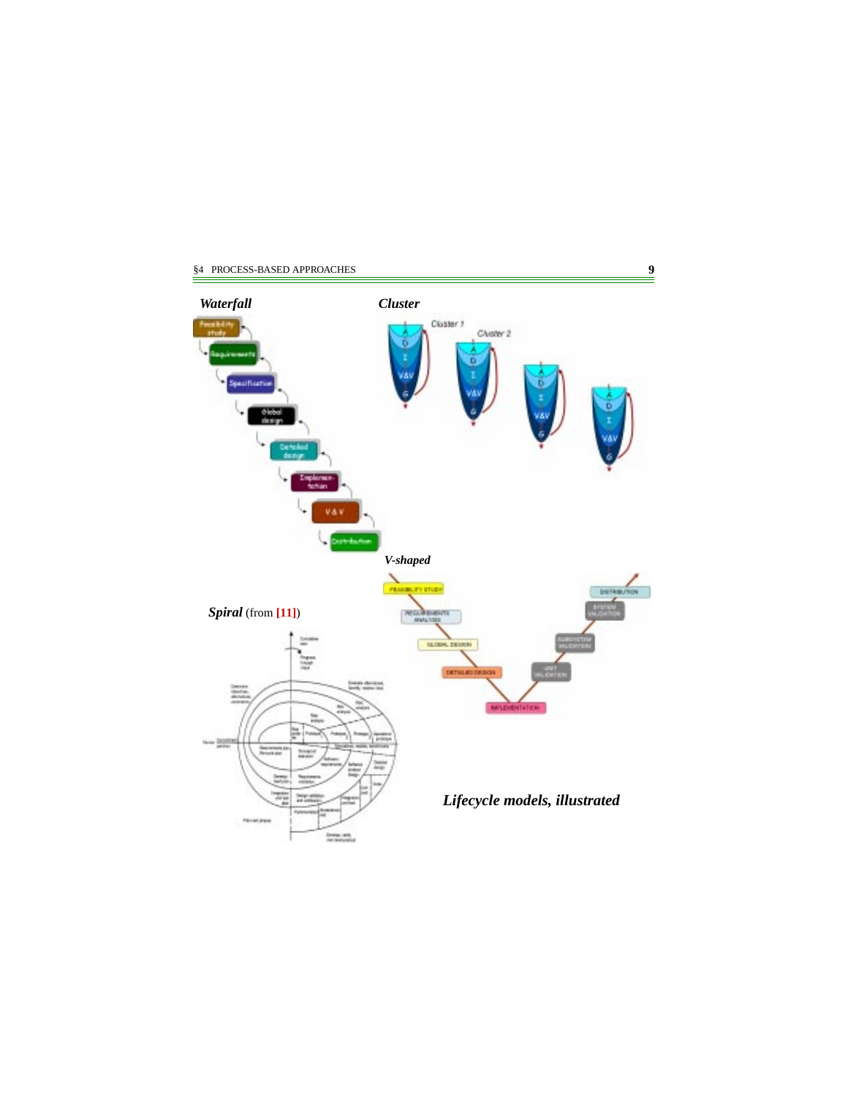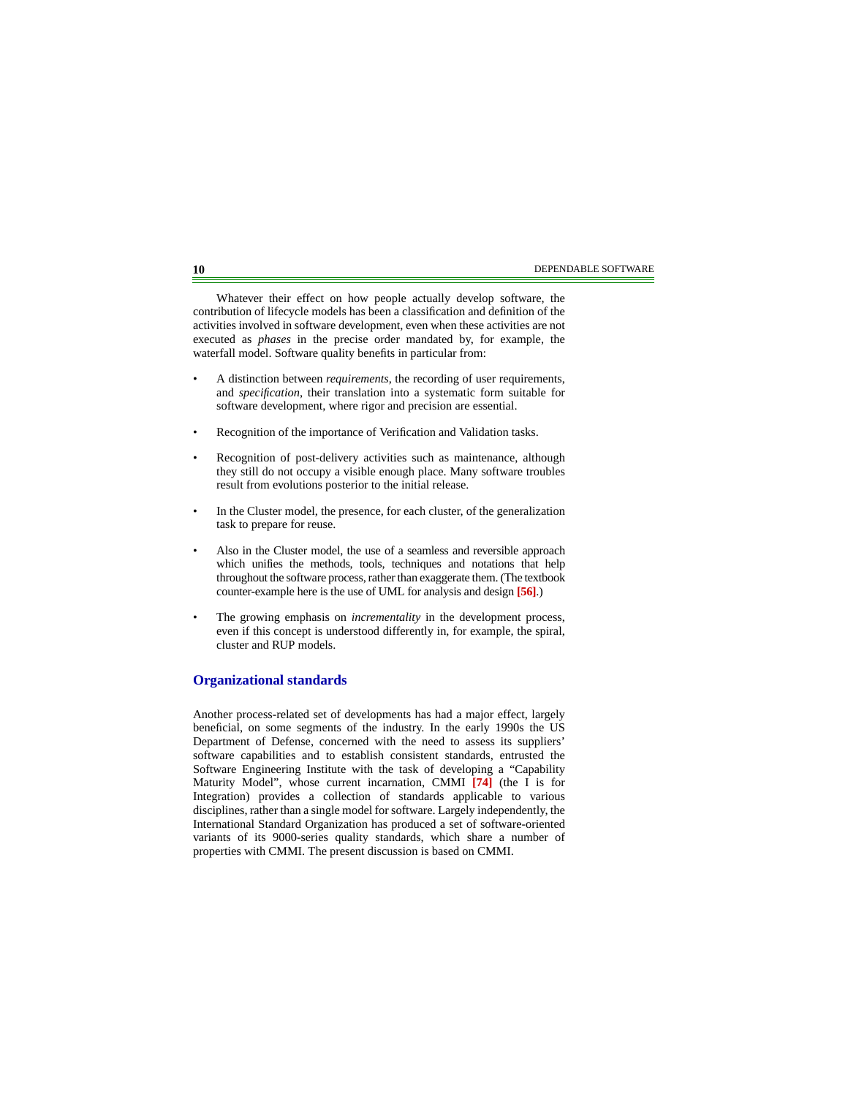Whatever their effect on how people actually develop software, the contribution of lifecycle models has been a classification and definition of the activities involved in software development, even when these activities are not executed as *phases* in the precise order mandated by, for example, the waterfall model. Software quality benefits in particular from:

- A distinction between *requirements*, the recording of user requirements, and *specification*, their translation into a systematic form suitable for software development, where rigor and precision are essential.
- Recognition of the importance of Verification and Validation tasks.
- Recognition of post-delivery activities such as maintenance, although they still do not occupy a visible enough place. Many software troubles result from evolutions posterior to the initial release.
- In the Cluster model, the presence, for each cluster, of the generalization task to prepare for reuse.
- Also in the Cluster model, the use of a seamless and reversible approach which unifies the methods, tools, techniques and notations that help throughout the software process, rather than exaggerate them. (The textbook counter-example here is the use of UML for analysis and design **[\[56\]](#page-40-2)**.)
- The growing emphasis on *incrementality* in the development process, even if this concept is understood differently in, for example, the spiral, cluster and RUP models.

## **Organizational standards**

Another process-related set of developments has had a major effect, largely beneficial, on some segments of the industry. In the early 1990s the US Department of Defense, concerned with the need to assess its suppliers' software capabilities and to establish consistent standards, entrusted the Software Engineering Institute with the task of developing a "Capability Maturity Model", whose current incarnation, CMMI **[\[74\]](#page-41-0)** (the I is for Integration) provides a collection of standards applicable to various disciplines, rather than a single model for software. Largely independently, the International Standard Organization has produced a set of software-oriented variants of its 9000-series quality standards, which share a number of properties with CMMI. The present discussion is based on CMMI.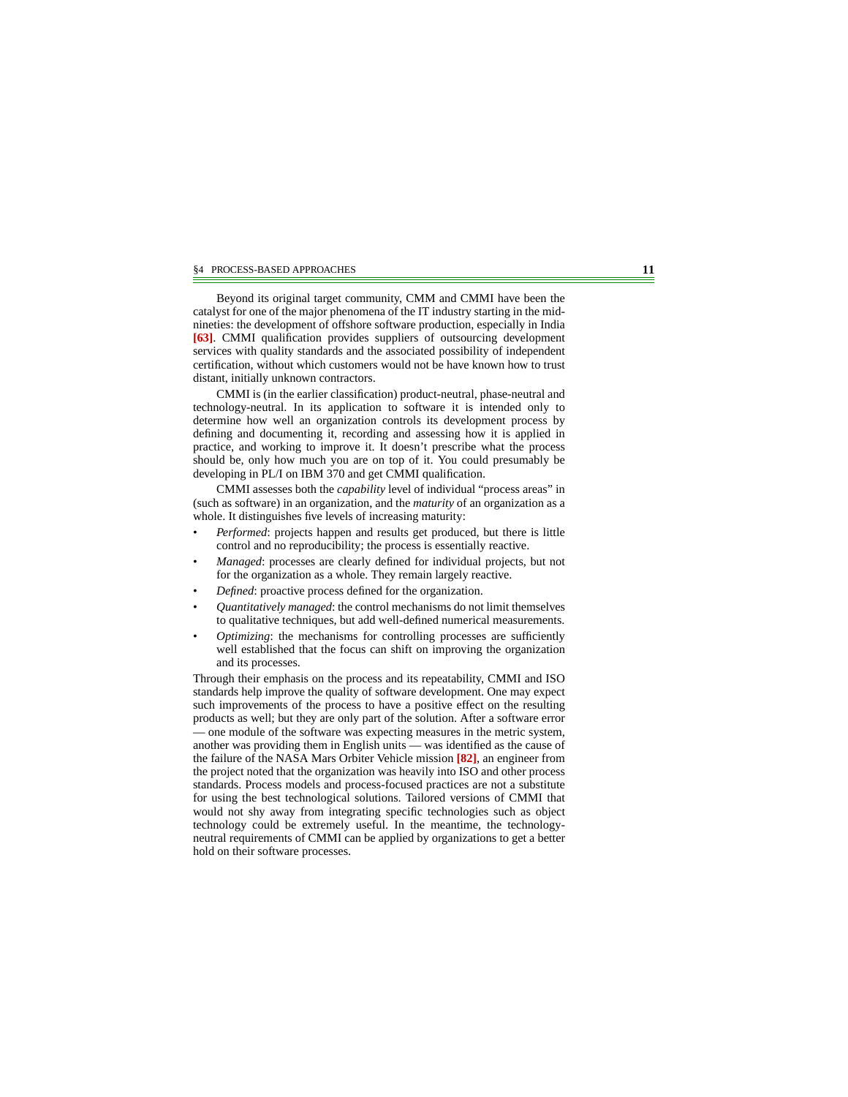Beyond its original target community, CMM and CMMI have been the catalyst for one of the major phenomena of the IT industry starting in the midnineties: the development of offshore software production, especially in India **[\[63\]](#page-40-3)**. CMMI qualification provides suppliers of outsourcing development services with quality standards and the associated possibility of independent certification, without which customers would not be have known how to trust distant, initially unknown contractors.

CMMI is (in the earlier classification) product-neutral, phase-neutral and technology-neutral. In its application to software it is intended only to determine how well an organization controls its development process by defining and documenting it, recording and assessing how it is applied in practice, and working to improve it. It doesn't prescribe what the process should be, only how much you are on top of it. You could presumably be developing in PL/I on IBM 370 and get CMMI qualification.

CMMI assesses both the *capability* level of individual "process areas" in (such as software) in an organization, and the *maturity* of an organization as a whole. It distinguishes five levels of increasing maturity:

- *Performed*: projects happen and results get produced, but there is little control and no reproducibility; the process is essentially reactive.
- *Managed*: processes are clearly defined for individual projects, but not for the organization as a whole. They remain largely reactive.
- *Defined*: proactive process defined for the organization.
- *Quantitatively managed*: the control mechanisms do not limit themselves to qualitative techniques, but add well-defined numerical measurements.
- *Optimizing*: the mechanisms for controlling processes are sufficiently well established that the focus can shift on improving the organization and its processes.

Through their emphasis on the process and its repeatability, CMMI and ISO standards help improve the quality of software development. One may expect such improvements of the process to have a positive effect on the resulting products as well; but they are only part of the solution. After a software error — one module of the software was expecting measures in the metric system, another was providing them in English units — was identified as the cause of the failure of the NASA Mars Orbiter Vehicle mission **[\[82\]](#page-41-1)**, an engineer from the project noted that the organization was heavily into ISO and other process standards. Process models and process-focused practices are not a substitute for using the best technological solutions. Tailored versions of CMMI that would not shy away from integrating specific technologies such as object technology could be extremely useful. In the meantime, the technologyneutral requirements of CMMI can be applied by organizations to get a better hold on their software processes.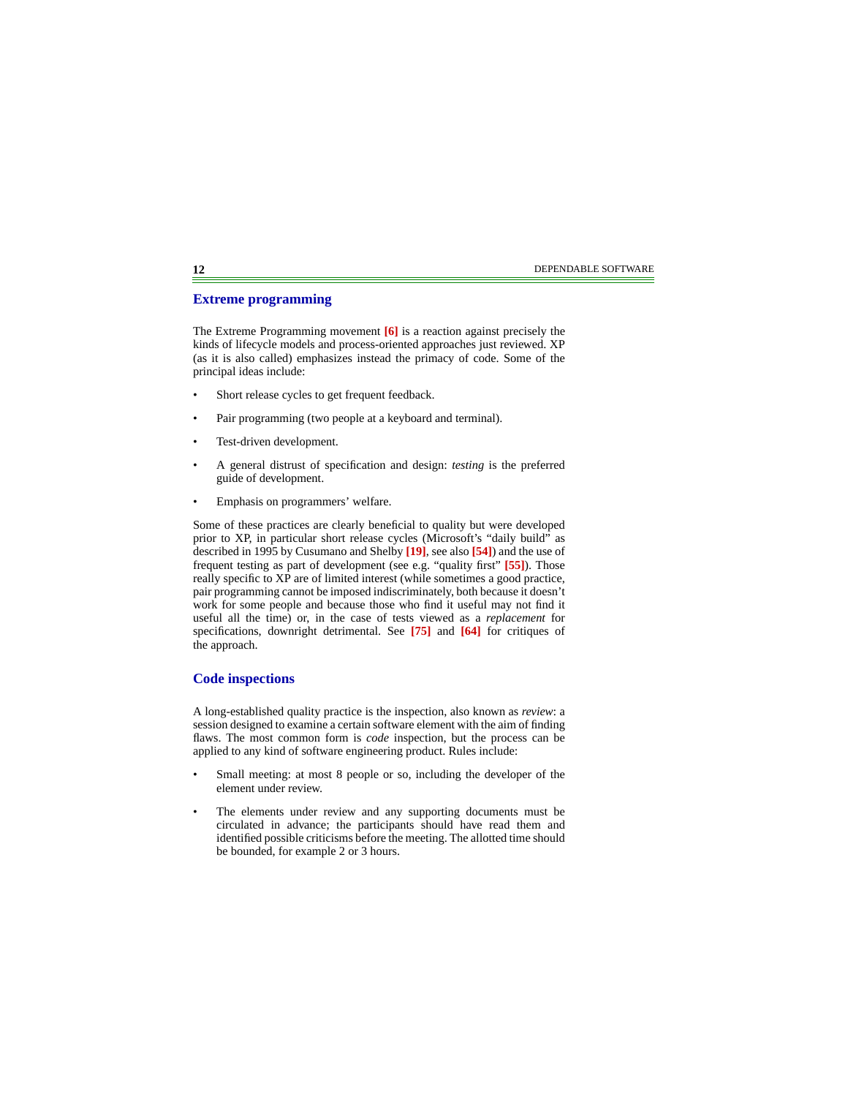### **Extreme programming**

The Extreme Programming movement **[\[6\]](#page-36-2)** is a reaction against precisely the kinds of lifecycle models and process-oriented approaches just reviewed. XP (as it is also called) emphasizes instead the primacy of code. Some of the principal ideas include:

- Short release cycles to get frequent feedback.
- Pair programming (two people at a keyboard and terminal).
- Test-driven development.
- A general distrust of specification and design: *testing* is the preferred guide of development.
- Emphasis on programmers' welfare.

Some of these practices are clearly beneficial to quality but were developed prior to XP, in particular short release cycles (Microsoft's "daily build" as described in 1995 by Cusumano and Shelby **[\[19\]](#page-37-0)**, see also **[\[54\]](#page-39-1)**) and the use of frequent testing as part of development (see e.g. "quality first" **[\[55\]](#page-39-2)**). Those really specific to XP are of limited interest (while sometimes a good practice, pair programming cannot be imposed indiscriminately, both because it doesn't work for some people and because those who find it useful may not find it useful all the time) or, in the case of tests viewed as a *replacement* for specifications, downright detrimental. See **[\[75\]](#page-41-2)** and **[\[64\]](#page-40-4)** for critiques of the approach.

## **Code inspections**

A long-established quality practice is the inspection, also known as *review*: a session designed to examine a certain software element with the aim of finding flaws. The most common form is *code* inspection, but the process can be applied to any kind of software engineering product. Rules include:

- Small meeting: at most 8 people or so, including the developer of the element under review.
- The elements under review and any supporting documents must be circulated in advance; the participants should have read them and identified possible criticisms before the meeting. The allotted time should be bounded, for example 2 or 3 hours.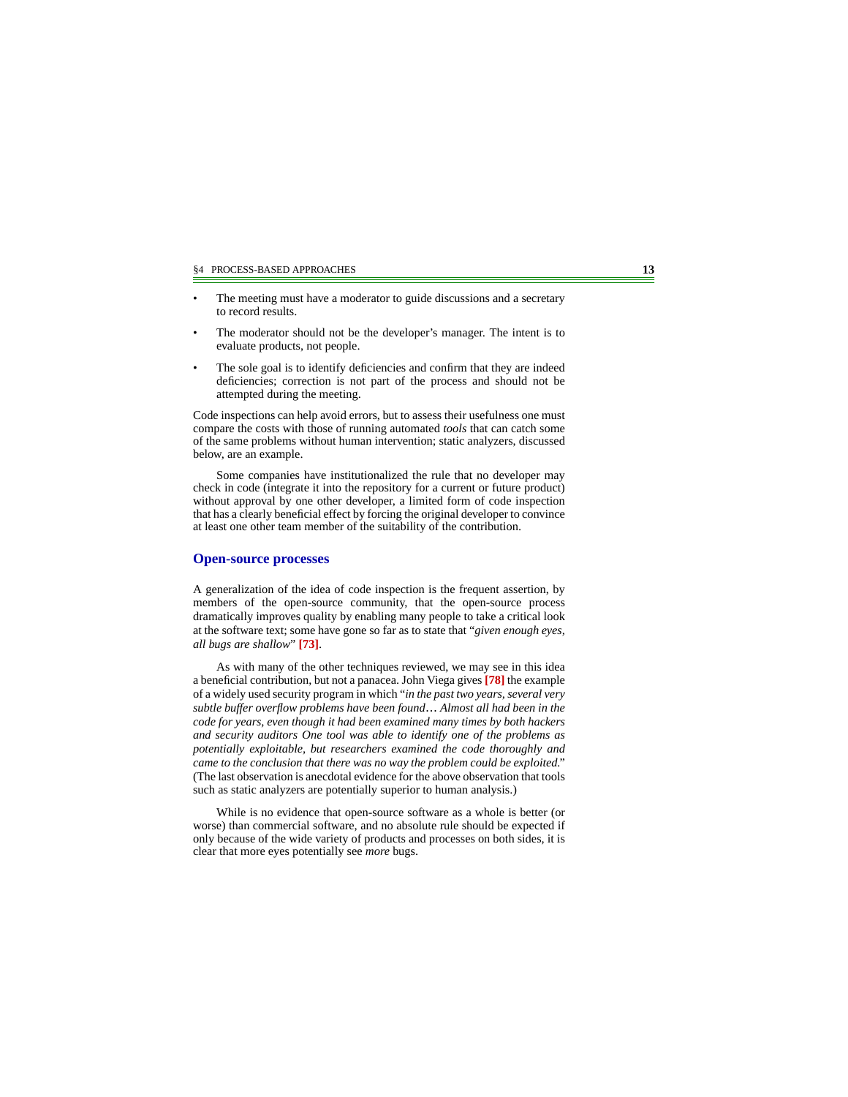- The meeting must have a moderator to guide discussions and a secretary to record results.
- The moderator should not be the developer's manager. The intent is to evaluate products, not people.
- The sole goal is to identify deficiencies and confirm that they are indeed deficiencies; correction is not part of the process and should not be attempted during the meeting.

Code inspections can help avoid errors, but to assess their usefulness one must compare the costs with those of running automated *tools* that can catch some of the same problems without human intervention; static analyzers, discussed below, are an example.

Some companies have institutionalized the rule that no developer may check in code (integrate it into the repository for a current or future product) without approval by one other developer, a limited form of code inspection that has a clearly beneficial effect by forcing the original developer to convince at least one other team member of the suitability of the contribution.

#### **Open-source processes**

A generalization of the idea of code inspection is the frequent assertion, by members of the open-source community, that the open-source process dramatically improves quality by enabling many people to take a critical look at the software text; some have gone so far as to state that "*given enough eyes, all bugs are shallow*" **[\[73\]](#page-41-3)**.

As with many of the other techniques reviewed, we may see in this idea a beneficial contribution, but not a panacea. John Viega gives **[\[78\]](#page-41-4)** the example of a widely used security program in which "*in the past two years, several very subtle buffer overflow problems have been found*… *Almost all had been in the code for years, even though it had been examined many times by both hackers and security auditors One tool was able to identify one of the problems as potentially exploitable, but researchers examined the code thoroughly and came to the conclusion that there was no way the problem could be exploited.*" (The last observation is anecdotal evidence for the above observation that tools such as static analyzers are potentially superior to human analysis.)

While is no evidence that open-source software as a whole is better (or worse) than commercial software, and no absolute rule should be expected if only because of the wide variety of products and processes on both sides, it is clear that more eyes potentially see *more* bugs.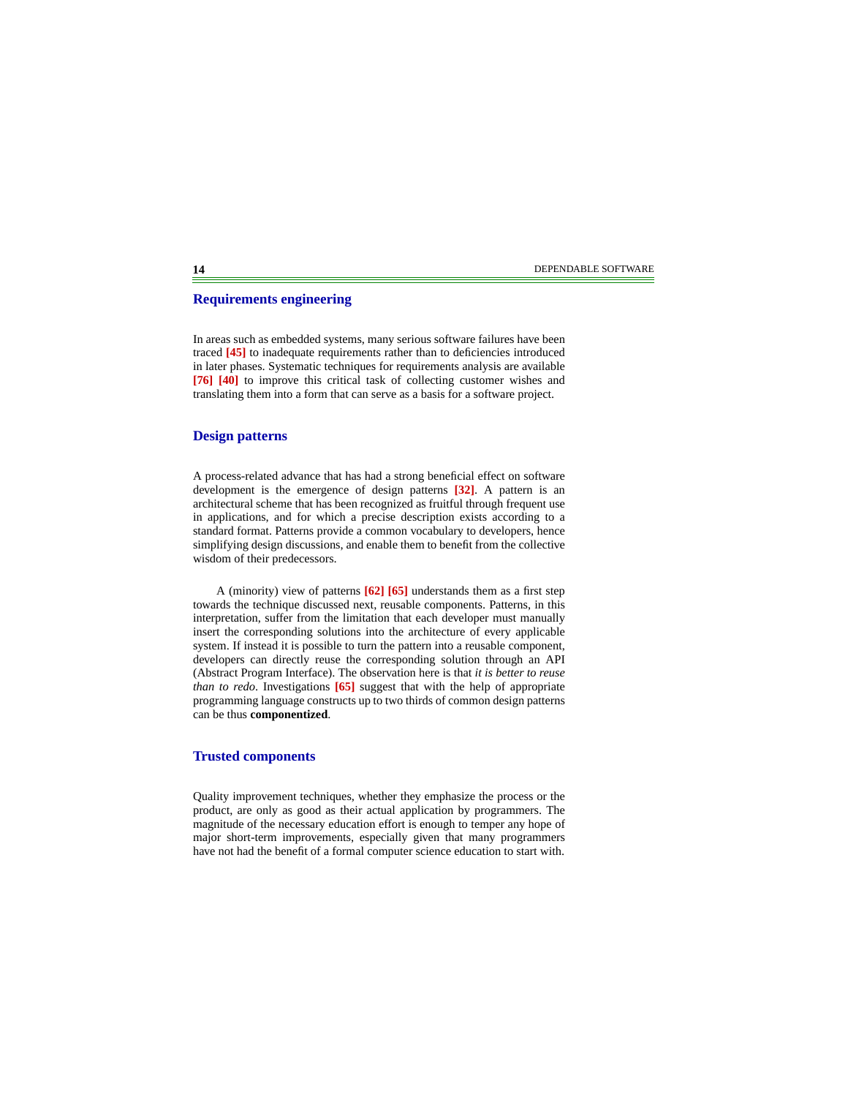### **Requirements engineering**

In areas such as embedded systems, many serious software failures have been traced **[\[45\]](#page-39-3)** to inadequate requirements rather than to deficiencies introduced in later phases. Systematic techniques for requirements analysis are available **[\[76\]](#page-41-5) [\[40\]](#page-39-4)** to improve this critical task of collecting customer wishes and translating them into a form that can serve as a basis for a software project.

#### **Design patterns**

A process-related advance that has had a strong beneficial effect on software development is the emergence of design patterns **[\[32\]](#page-38-2)**. A pattern is an architectural scheme that has been recognized as fruitful through frequent use in applications, and for which a precise description exists according to a standard format. Patterns provide a common vocabulary to developers, hence simplifying design discussions, and enable them to benefit from the collective wisdom of their predecessors.

A (minority) view of patterns **[\[62\]](#page-40-6) [\[65\]](#page-40-5)** understands them as a first step towards the technique discussed next, reusable components. Patterns, in this interpretation, suffer from the limitation that each developer must manually insert the corresponding solutions into the architecture of every applicable system. If instead it is possible to turn the pattern into a reusable component, developers can directly reuse the corresponding solution through an API (Abstract Program Interface). The observation here is that *it is better to reuse than to redo*. Investigations **[\[65\]](#page-40-5)** suggest that with the help of appropriate programming language constructs up to two thirds of common design patterns can be thus **componentized**.

#### **Trusted components**

Quality improvement techniques, whether they emphasize the process or the product, are only as good as their actual application by programmers. The magnitude of the necessary education effort is enough to temper any hope of major short-term improvements, especially given that many programmers have not had the benefit of a formal computer science education to start with.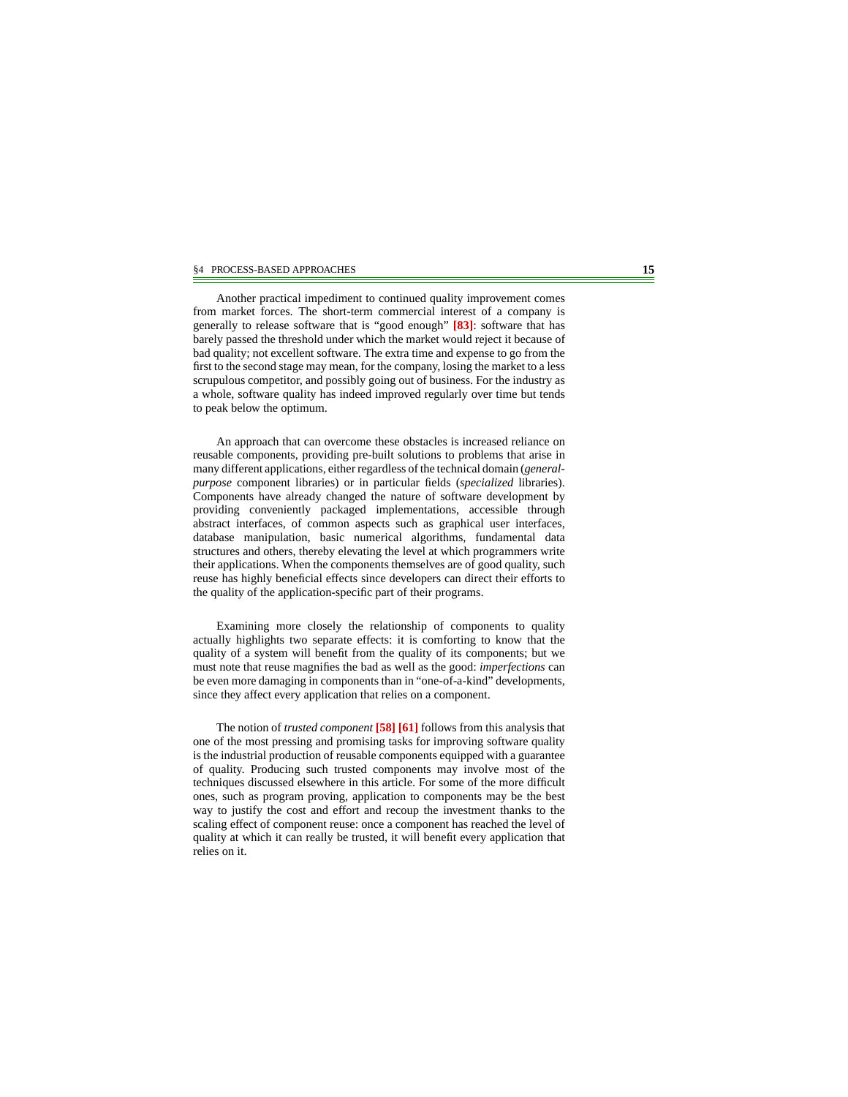Another practical impediment to continued quality improvement comes from market forces. The short-term commercial interest of a company is generally to release software that is "good enough" **[\[83\]](#page-41-6)**: software that has barely passed the threshold under which the market would reject it because of bad quality; not excellent software. The extra time and expense to go from the first to the second stage may mean, for the company, losing the market to a less scrupulous competitor, and possibly going out of business. For the industry as a whole, software quality has indeed improved regularly over time but tends to peak below the optimum.

An approach that can overcome these obstacles is increased reliance on reusable components, providing pre-built solutions to problems that arise in many different applications, either regardless of the technical domain (*generalpurpose* component libraries) or in particular fields (*specialized* libraries). Components have already changed the nature of software development by providing conveniently packaged implementations, accessible through abstract interfaces, of common aspects such as graphical user interfaces, database manipulation, basic numerical algorithms, fundamental data structures and others, thereby elevating the level at which programmers write their applications. When the components themselves are of good quality, such reuse has highly beneficial effects since developers can direct their efforts to the quality of the application-specific part of their programs.

Examining more closely the relationship of components to quality actually highlights two separate effects: it is comforting to know that the quality of a system will benefit from the quality of its components; but we must note that reuse magnifies the bad as well as the good: *imperfections* can be even more damaging in components than in "one-of-a-kind" developments, since they affect every application that relies on a component.

The notion of *trusted component* **[\[58\]](#page-40-7) [\[61\]](#page-40-8)** follows from this analysis that one of the most pressing and promising tasks for improving software quality is the industrial production of reusable components equipped with a guarantee of quality. Producing such trusted components may involve most of the techniques discussed elsewhere in this article. For some of the more difficult ones, such as program proving, application to components may be the best way to justify the cost and effort and recoup the investment thanks to the scaling effect of component reuse: once a component has reached the level of quality at which it can really be trusted, it will benefit every application that relies on it.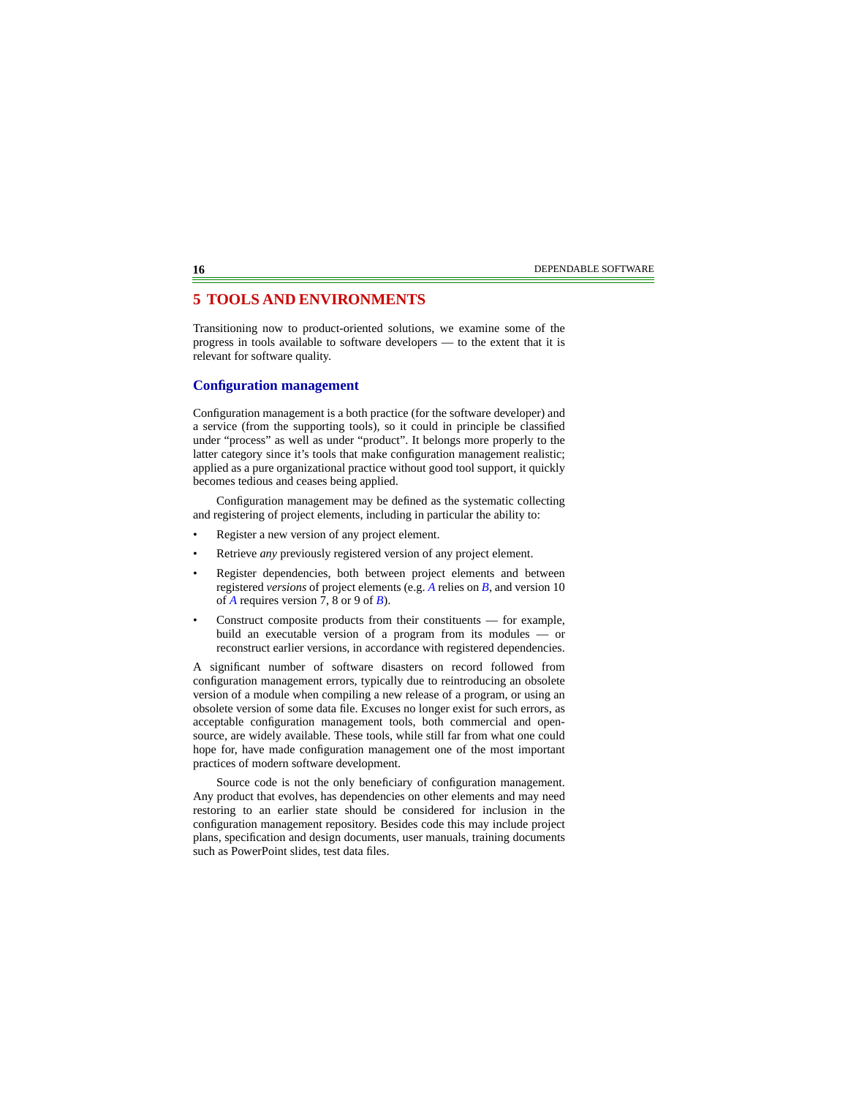## **5 TOOLS AND ENVIRONMENTS**

Transitioning now to product-oriented solutions, we examine some of the progress in tools available to software developers — to the extent that it is relevant for software quality.

## **Configuration management**

Configuration management is a both practice (for the software developer) and a service (from the supporting tools), so it could in principle be classified under "process" as well as under "product". It belongs more properly to the latter category since it's tools that make configuration management realistic; applied as a pure organizational practice without good tool support, it quickly becomes tedious and ceases being applied.

Configuration management may be defined as the systematic collecting and registering of project elements, including in particular the ability to:

- Register a new version of any project element.
- Retrieve *any* previously registered version of any project element.
- Register dependencies, both between project elements and between registered *versions* of project elements (e.g. *A* relies on *B*, and version 10 of *A* requires version 7, 8 or 9 of *B*).
- Construct composite products from their constituents for example, build an executable version of a program from its modules — or reconstruct earlier versions, in accordance with registered dependencies.

A significant number of software disasters on record followed from configuration management errors, typically due to reintroducing an obsolete version of a module when compiling a new release of a program, or using an obsolete version of some data file. Excuses no longer exist for such errors, as acceptable configuration management tools, both commercial and opensource, are widely available. These tools, while still far from what one could hope for, have made configuration management one of the most important practices of modern software development.

Source code is not the only beneficiary of configuration management. Any product that evolves, has dependencies on other elements and may need restoring to an earlier state should be considered for inclusion in the configuration management repository. Besides code this may include project plans, specification and design documents, user manuals, training documents such as PowerPoint slides, test data files.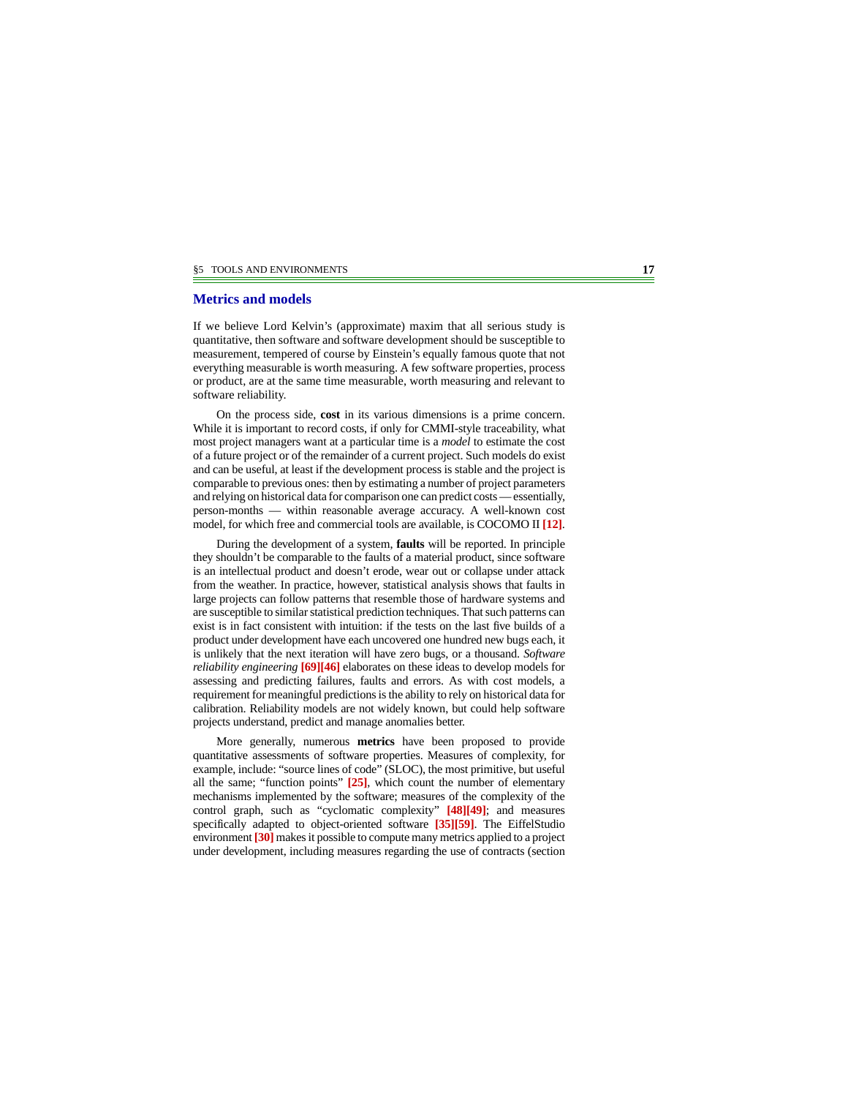#### **Metrics and models**

If we believe Lord Kelvin's (approximate) maxim that all serious study is quantitative, then software and software development should be susceptible to measurement, tempered of course by Einstein's equally famous quote that not everything measurable is worth measuring. A few software properties, process or product, are at the same time measurable, worth measuring and relevant to software reliability.

On the process side, **cost** in its various dimensions is a prime concern. While it is important to record costs, if only for CMMI-style traceability, what most project managers want at a particular time is a *model* to estimate the cost of a future project or of the remainder of a current project. Such models do exist and can be useful, at least if the development process is stable and the project is comparable to previous ones: then by estimating a number of project parameters and relying on historical data for comparison one can predict costs — essentially, person-months — within reasonable average accuracy. A well-known cost model, for which free and commercial tools are available, is COCOMO II **[\[12\]](#page-36-3)**.

During the development of a system, **faults** will be reported. In principle they shouldn't be comparable to the faults of a material product, since software is an intellectual product and doesn't erode, wear out or collapse under attack from the weather. In practice, however, statistical analysis shows that faults in large projects can follow patterns that resemble those of hardware systems and are susceptible to similar statistical prediction techniques. That such patterns can exist is in fact consistent with intuition: if the tests on the last five builds of a product under development have each uncovered one hundred new bugs each, it is unlikely that the next iteration will have zero bugs, or a thousand. *Software reliability engineering* **[\[69\]](#page-40-9)[\[46\]](#page-39-5)** elaborates on these ideas to develop models for assessing and predicting failures, faults and errors. As with cost models, a requirement for meaningful predictions is the ability to rely on historical data for calibration. Reliability models are not widely known, but could help software projects understand, predict and manage anomalies better.

More generally, numerous **metrics** have been proposed to provide quantitative assessments of software properties. Measures of complexity, for example, include: "source lines of code" (SLOC), the most primitive, but useful all the same; "function points" **[\[25\]](#page-37-1)**, which count the number of elementary mechanisms implemented by the software; measures of the complexity of the control graph, such as "cyclomatic complexity" **[\[48\]](#page-39-6)[\[49\]](#page-39-7)**; and measures specifically adapted to object-oriented software **[\[35\]](#page-38-3)[\[59\]](#page-40-10)**. The EiffelStudio environment **[\[30\]](#page-38-4)** makes it possible to compute many metrics applied to a project under development, including measures regarding the use of contracts (section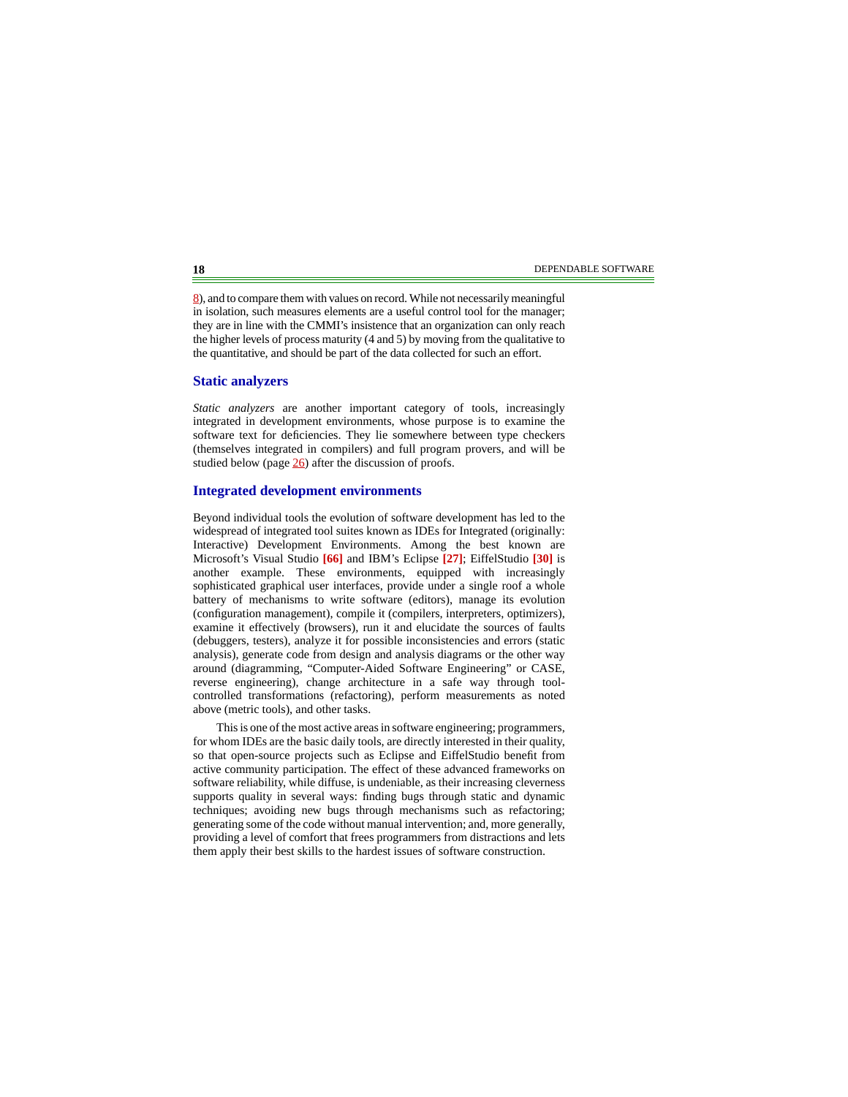[8](#page-29-0)), and to compare them with values on record. While not necessarily meaningful in isolation, such measures elements are a useful control tool for the manager; they are in line with the CMMI's insistence that an organization can only reach the higher levels of process maturity (4 and 5) by moving from the qualitative to the quantitative, and should be part of the data collected for such an effort.

### **Static analyzers**

*Static analyzers* are another important category of tools, increasingly integrated in development environments, whose purpose is to examine the software text for deficiencies. They lie somewhere between type checkers (themselves integrated in compilers) and full program provers, and will be studied below (page [26](#page-25-0)) after the discussion of proofs.

### **Integrated development environments**

Beyond individual tools the evolution of software development has led to the widespread of integrated tool suites known as IDEs for Integrated (originally: Interactive) Development Environments. Among the best known are Microsoft's Visual Studio **[\[66\]](#page-40-11)** and IBM's Eclipse **[\[27\]](#page-38-5)**; EiffelStudio **[\[30\]](#page-38-4)** is another example. These environments, equipped with increasingly sophisticated graphical user interfaces, provide under a single roof a whole battery of mechanisms to write software (editors), manage its evolution (configuration management), compile it (compilers, interpreters, optimizers), examine it effectively (browsers), run it and elucidate the sources of faults (debuggers, testers), analyze it for possible inconsistencies and errors (static analysis), generate code from design and analysis diagrams or the other way around (diagramming, "Computer-Aided Software Engineering" or CASE, reverse engineering), change architecture in a safe way through toolcontrolled transformations (refactoring), perform measurements as noted above (metric tools), and other tasks.

This is one of the most active areas in software engineering; programmers, for whom IDEs are the basic daily tools, are directly interested in their quality, so that open-source projects such as Eclipse and EiffelStudio benefit from active community participation. The effect of these advanced frameworks on software reliability, while diffuse, is undeniable, as their increasing cleverness supports quality in several ways: finding bugs through static and dynamic techniques; avoiding new bugs through mechanisms such as refactoring; generating some of the code without manual intervention; and, more generally, providing a level of comfort that frees programmers from distractions and lets them apply their best skills to the hardest issues of software construction.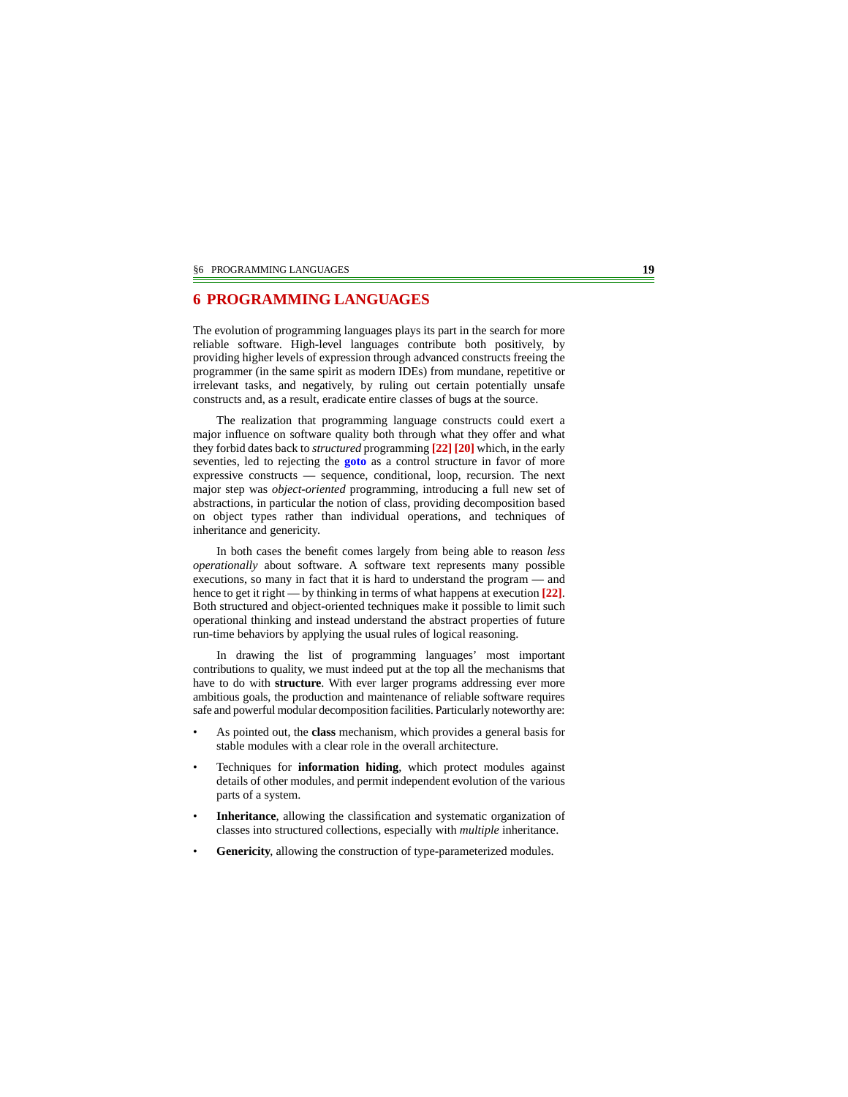## **6 PROGRAMMING LANGUAGES**

The evolution of programming languages plays its part in the search for more reliable software. High-level languages contribute both positively, by providing higher levels of expression through advanced constructs freeing the programmer (in the same spirit as modern IDEs) from mundane, repetitive or irrelevant tasks, and negatively, by ruling out certain potentially unsafe constructs and, as a result, eradicate entire classes of bugs at the source.

The realization that programming language constructs could exert a major influence on software quality both through what they offer and what they forbid dates back to *structured* programming **[\[22\]](#page-37-3) [\[20\]](#page-37-2)** which, in the early seventies, led to rejecting the **goto** as a control structure in favor of more expressive constructs — sequence, conditional, loop, recursion. The next major step was *object-oriented* programming, introducing a full new set of abstractions, in particular the notion of class, providing decomposition based on object types rather than individual operations, and techniques of inheritance and genericity.

In both cases the benefit comes largely from being able to reason *less operationally* about software. A software text represents many possible executions, so many in fact that it is hard to understand the program — and hence to get it right — by thinking in terms of what happens at execution **[\[22\]](#page-37-3)**. Both structured and object-oriented techniques make it possible to limit such operational thinking and instead understand the abstract properties of future run-time behaviors by applying the usual rules of logical reasoning.

In drawing the list of programming languages' most important contributions to quality, we must indeed put at the top all the mechanisms that have to do with **structure**. With ever larger programs addressing ever more ambitious goals, the production and maintenance of reliable software requires safe and powerful modular decomposition facilities. Particularly noteworthy are:

- As pointed out, the **class** mechanism, which provides a general basis for stable modules with a clear role in the overall architecture.
- Techniques for **information hiding**, which protect modules against details of other modules, and permit independent evolution of the various parts of a system.
- **Inheritance**, allowing the classification and systematic organization of classes into structured collections, especially with *multiple* inheritance.
- **Genericity**, allowing the construction of type-parameterized modules.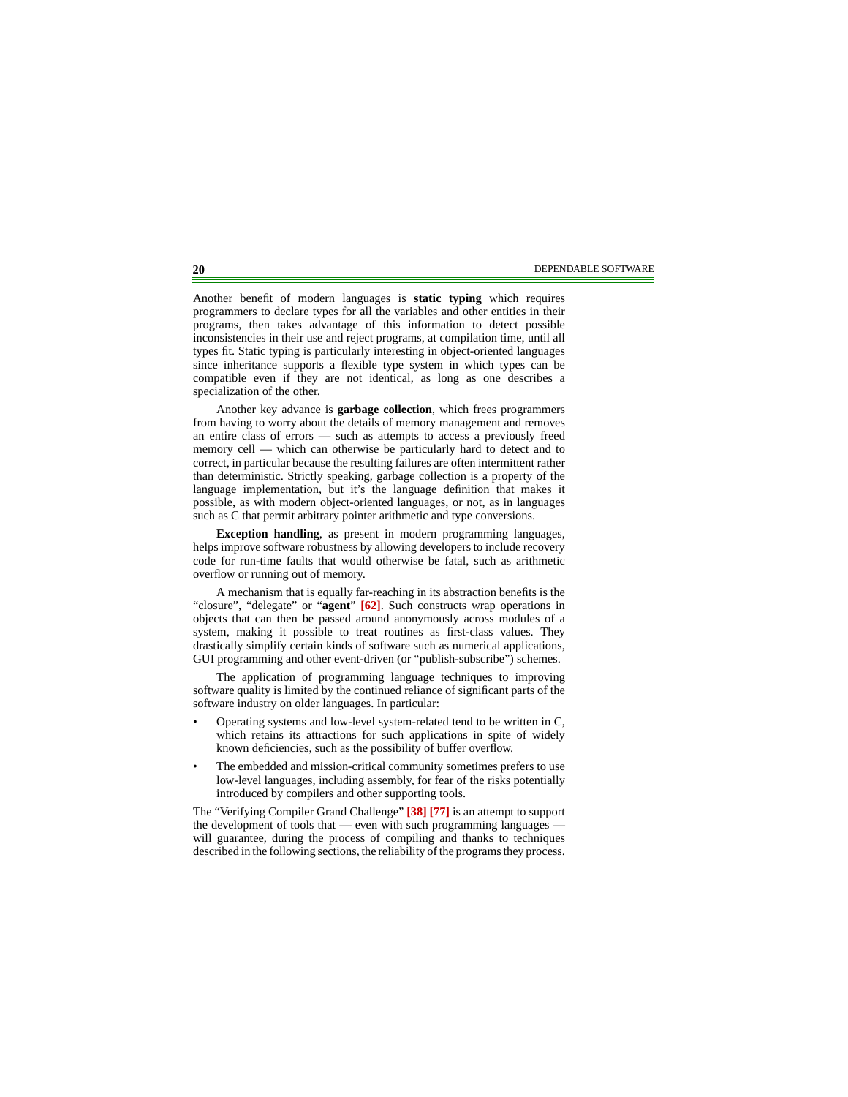Another benefit of modern languages is **static typing** which requires programmers to declare types for all the variables and other entities in their programs, then takes advantage of this information to detect possible inconsistencies in their use and reject programs, at compilation time, until all types fit. Static typing is particularly interesting in object-oriented languages since inheritance supports a flexible type system in which types can be compatible even if they are not identical, as long as one describes a specialization of the other.

Another key advance is **garbage collection**, which frees programmers from having to worry about the details of memory management and removes an entire class of errors — such as attempts to access a previously freed memory cell — which can otherwise be particularly hard to detect and to correct, in particular because the resulting failures are often intermittent rather than deterministic. Strictly speaking, garbage collection is a property of the language implementation, but it's the language definition that makes it possible, as with modern object-oriented languages, or not, as in languages such as C that permit arbitrary pointer arithmetic and type conversions.

**Exception handling**, as present in modern programming languages, helps improve software robustness by allowing developers to include recovery code for run-time faults that would otherwise be fatal, such as arithmetic overflow or running out of memory.

A mechanism that is equally far-reaching in its abstraction benefits is the "closure", "delegate" or "**agent**" **[\[62\]](#page-40-6)**. Such constructs wrap operations in objects that can then be passed around anonymously across modules of a system, making it possible to treat routines as first-class values. They drastically simplify certain kinds of software such as numerical applications, GUI programming and other event-driven (or "publish-subscribe") schemes.

The application of programming language techniques to improving software quality is limited by the continued reliance of significant parts of the software industry on older languages. In particular:

- Operating systems and low-level system-related tend to be written in C, which retains its attractions for such applications in spite of widely known deficiencies, such as the possibility of buffer overflow.
- The embedded and mission-critical community sometimes prefers to use low-level languages, including assembly, for fear of the risks potentially introduced by compilers and other supporting tools.

The "Verifying Compiler Grand Challenge" **[\[38\]](#page-38-6) [\[77\]](#page-41-7)** is an attempt to support the development of tools that — even with such programming languages will guarantee, during the process of compiling and thanks to techniques described in the following sections, the reliability of the programs they process.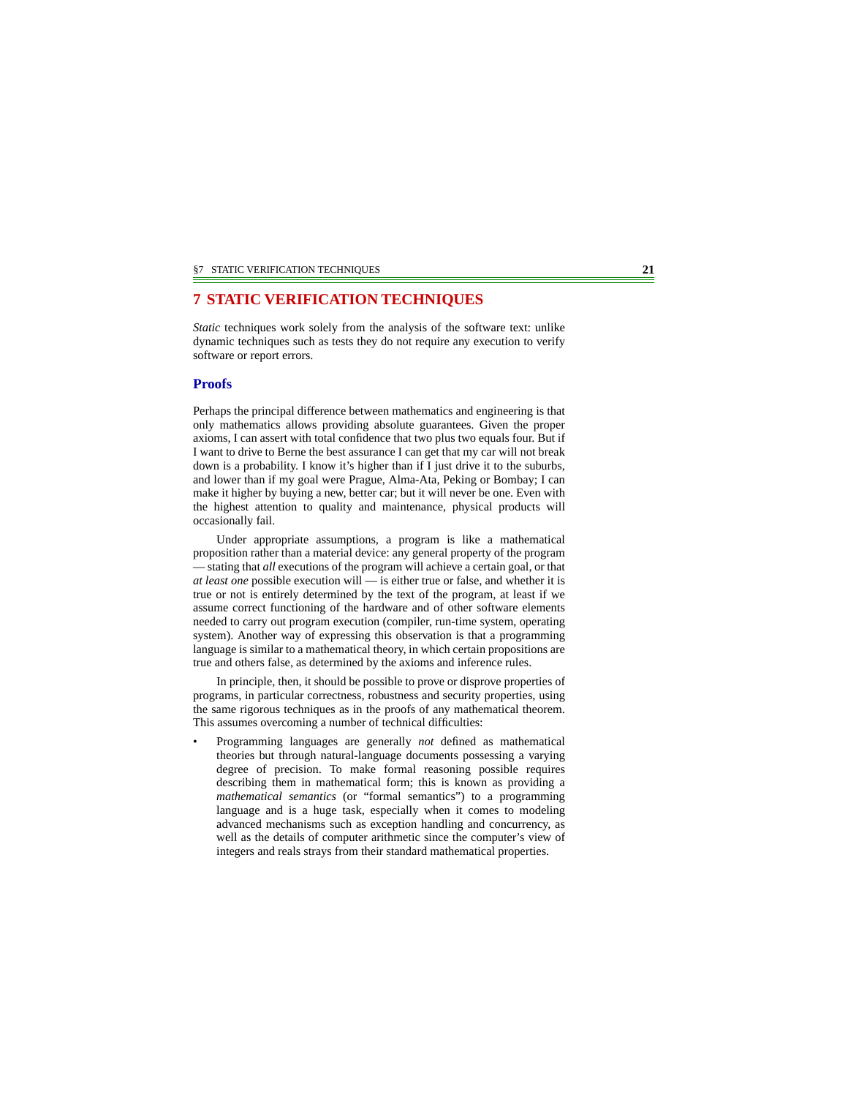## **7 STATIC VERIFICATION TECHNIQUES**

*Static* techniques work solely from the analysis of the software text: unlike dynamic techniques such as tests they do not require any execution to verify software or report errors.

#### **Proofs**

Perhaps the principal difference between mathematics and engineering is that only mathematics allows providing absolute guarantees. Given the proper axioms, I can assert with total confidence that two plus two equals four. But if I want to drive to Berne the best assurance I can get that my car will not break down is a probability. I know it's higher than if I just drive it to the suburbs, and lower than if my goal were Prague, Alma-Ata, Peking or Bombay; I can make it higher by buying a new, better car; but it will never be one. Even with the highest attention to quality and maintenance, physical products will occasionally fail.

Under appropriate assumptions, a program is like a mathematical proposition rather than a material device: any general property of the program — stating that *all* executions of the program will achieve a certain goal, or that *at least one* possible execution will — is either true or false, and whether it is true or not is entirely determined by the text of the program, at least if we assume correct functioning of the hardware and of other software elements needed to carry out program execution (compiler, run-time system, operating system). Another way of expressing this observation is that a programming language is similar to a mathematical theory, in which certain propositions are true and others false, as determined by the axioms and inference rules.

In principle, then, it should be possible to prove or disprove properties of programs, in particular correctness, robustness and security properties, using the same rigorous techniques as in the proofs of any mathematical theorem. This assumes overcoming a number of technical difficulties:

• Programming languages are generally *not* defined as mathematical theories but through natural-language documents possessing a varying degree of precision. To make formal reasoning possible requires describing them in mathematical form; this is known as providing a *mathematical semantics* (or "formal semantics") to a programming language and is a huge task, especially when it comes to modeling advanced mechanisms such as exception handling and concurrency, as well as the details of computer arithmetic since the computer's view of integers and reals strays from their standard mathematical properties.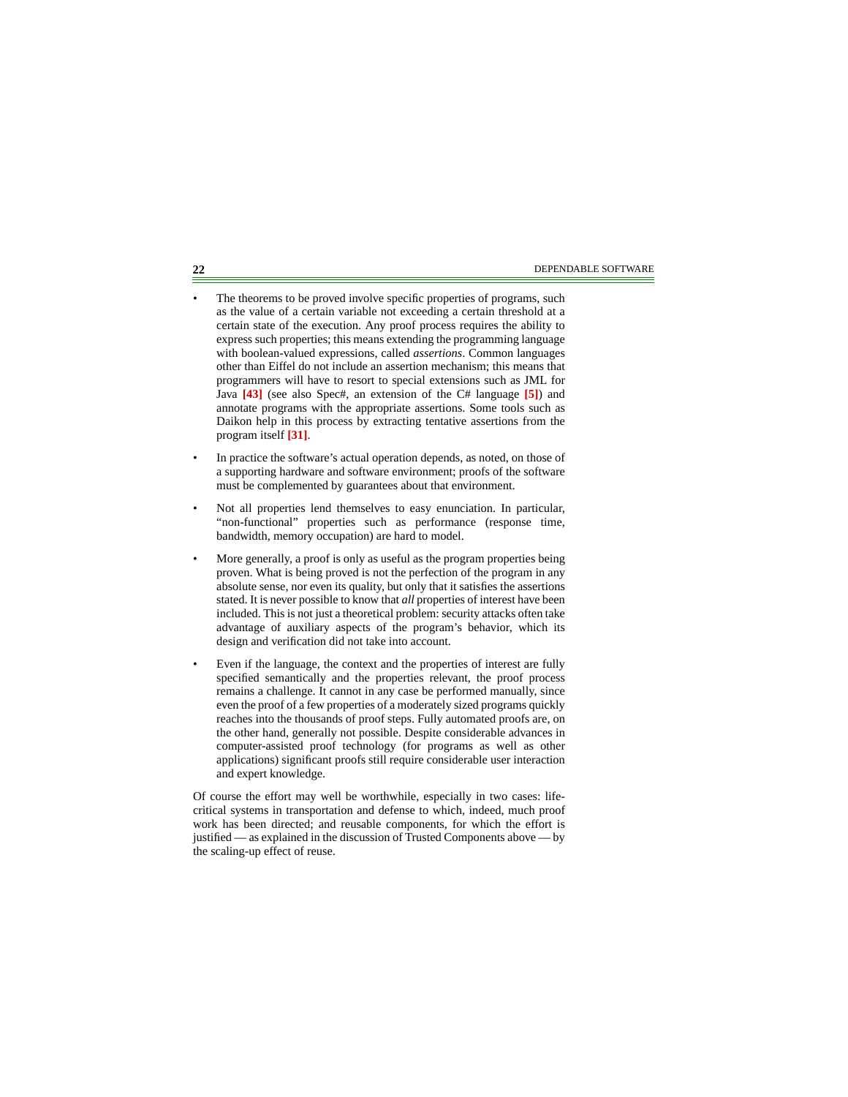- The theorems to be proved involve specific properties of programs, such as the value of a certain variable not exceeding a certain threshold at a certain state of the execution. Any proof process requires the ability to express such properties; this means extending the programming language with boolean-valued expressions, called *assertions*. Common languages other than Eiffel do not include an assertion mechanism; this means that programmers will have to resort to special extensions such as JML for Java **[\[43\]](#page-39-8)** (see also Spec#, an extension of the C# language **[\[5\]](#page-36-4)**) and annotate programs with the appropriate assertions. Some tools such as Daikon help in this process by extracting tentative assertions from the program itself **[\[31\]](#page-38-7)**.
- In practice the software's actual operation depends, as noted, on those of a supporting hardware and software environment; proofs of the software must be complemented by guarantees about that environment.
- Not all properties lend themselves to easy enunciation. In particular, "non-functional" properties such as performance (response time, bandwidth, memory occupation) are hard to model.
- More generally, a proof is only as useful as the program properties being proven. What is being proved is not the perfection of the program in any absolute sense, nor even its quality, but only that it satisfies the assertions stated. It is never possible to know that *all* properties of interest have been included. This is not just a theoretical problem: security attacks often take advantage of auxiliary aspects of the program's behavior, which its design and verification did not take into account.
- Even if the language, the context and the properties of interest are fully specified semantically and the properties relevant, the proof process remains a challenge. It cannot in any case be performed manually, since even the proof of a few properties of a moderately sized programs quickly reaches into the thousands of proof steps. Fully automated proofs are, on the other hand, generally not possible. Despite considerable advances in computer-assisted proof technology (for programs as well as other applications) significant proofs still require considerable user interaction and expert knowledge.

Of course the effort may well be worthwhile, especially in two cases: lifecritical systems in transportation and defense to which, indeed, much proof work has been directed; and reusable components, for which the effort is justified — as explained in the discussion of Trusted Components above — by the scaling-up effect of reuse.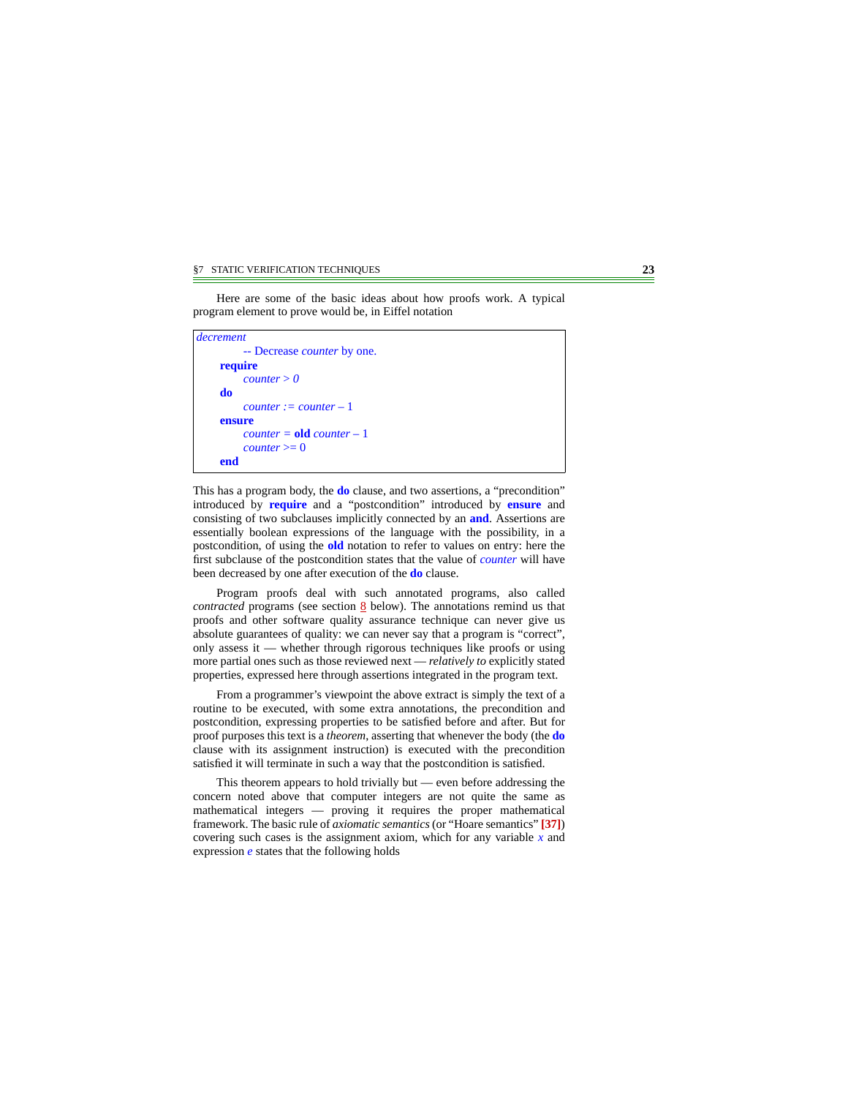Here are some of the basic ideas about how proofs work. A typical program element to prove would be, in Eiffel notation

```
decrement
         -- Decrease counter by one.
    require
         counter > 0do
         counter := counter – 1
    ensure
         counter = old counter – 1
         counter \geq 0end
```
This has a program body, the **do** clause, and two assertions, a "precondition" introduced by **require** and a "postcondition" introduced by **ensure** and consisting of two subclauses implicitly connected by an **and**. Assertions are essentially boolean expressions of the language with the possibility, in a postcondition, of using the **old** notation to refer to values on entry: here the first subclause of the postcondition states that the value of *counter* will have been decreased by one after execution of the **do** clause.

Program proofs deal with such annotated programs, also called *contracted* programs (see section [8](#page-29-0) below). The annotations remind us that proofs and other software quality assurance technique can never give us absolute guarantees of quality: we can never say that a program is "correct", only assess it — whether through rigorous techniques like proofs or using more partial ones such as those reviewed next — *relatively to* explicitly stated properties, expressed here through assertions integrated in the program text.

From a programmer's viewpoint the above extract is simply the text of a routine to be executed, with some extra annotations, the precondition and postcondition, expressing properties to be satisfied before and after. But for proof purposes this text is a *theorem*, asserting that whenever the body (the **do** clause with its assignment instruction) is executed with the precondition satisfied it will terminate in such a way that the postcondition is satisfied.

This theorem appears to hold trivially but — even before addressing the concern noted above that computer integers are not quite the same as mathematical integers — proving it requires the proper mathematical framework. The basic rule of *axiomatic semantics* (or "Hoare semantics" **[\[37\]](#page-38-8)**) covering such cases is the assignment axiom, which for any variable  $x$  and expression *e* states that the following holds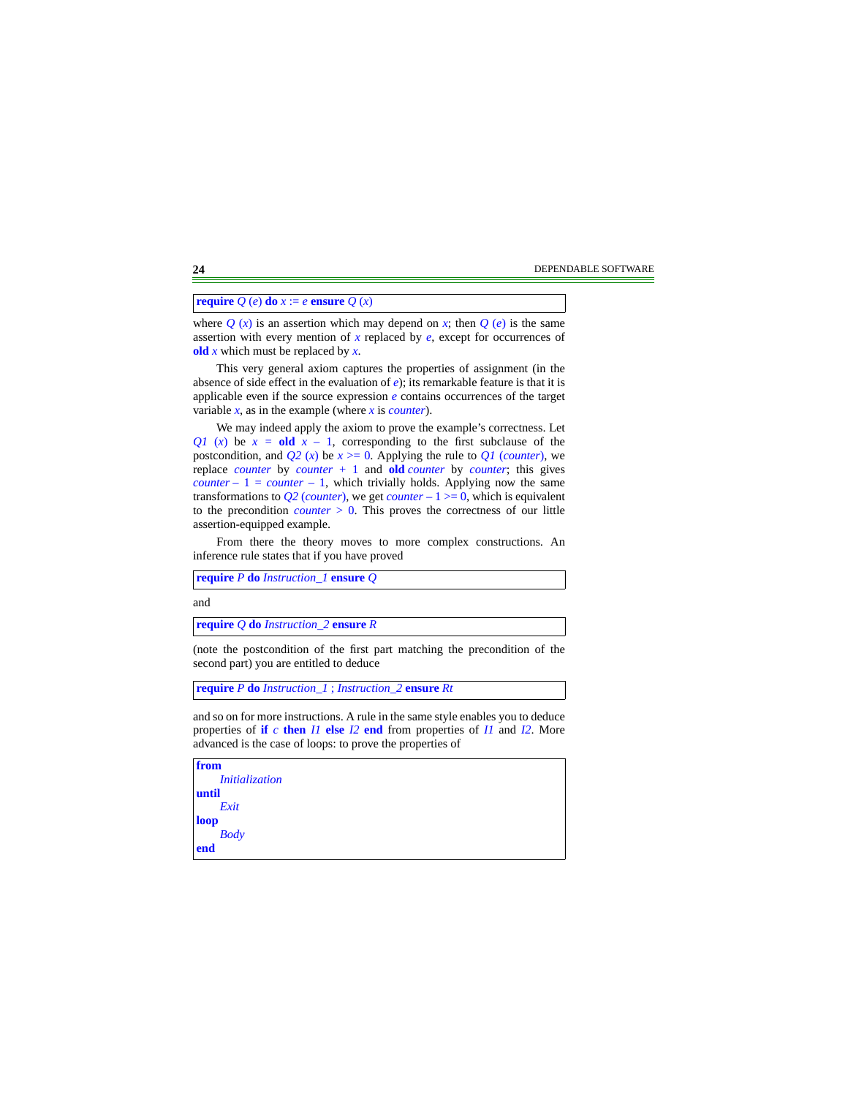#### **require**  $Q(e)$  **do**  $x := e$  **ensure**  $Q(x)$

where  $Q(x)$  is an assertion which may depend on x; then  $Q(e)$  is the same assertion with every mention of  $x$  replaced by  $e$ , except for occurrences of **old** *x* which must be replaced by *x*.

This very general axiom captures the properties of assignment (in the absence of side effect in the evaluation of *e*); its remarkable feature is that it is applicable even if the source expression *e* contains occurrences of the target variable *x*, as in the example (where *x* is *counter*).

We may indeed apply the axiom to prove the example's correctness. Let *Q1* (*x*) be  $x = old \cdot x - 1$ , corresponding to the first subclause of the postcondition, and  $Q2(x)$  be  $x \ge 0$ . Applying the rule to  $Q1$  (*counter*), we replace *counter* by *counter* + 1 and **old** *counter* by *counter*; this gives *counter* –  $1 = counter - 1$ , which trivially holds. Applying now the same transformations to *Q2* (*counter*), we get *counter*  $-1 \ge 0$ , which is equivalent to the precondition *counter*  $> 0$ . This proves the correctness of our little assertion-equipped example.

From there the theory moves to more complex constructions. An inference rule states that if you have proved

**require** *P* **do** *Instruction\_1* **ensure** *Q*

and

```
require Q do Instruction_2 ensure R
```
(note the postcondition of the first part matching the precondition of the second part) you are entitled to deduce

**require** *P* **do** *Instruction\_1* ; *Instruction\_2* **ensure** *Rt*

and so on for more instructions. A rule in the same style enables you to deduce properties of **if** *c* **then** *I1* **else** *I2* **end** from properties of *I1* and *I2*. More advanced is the case of loops: to prove the properties of

```
from
    Initialization
until
    Exit
loop
    Body
end
```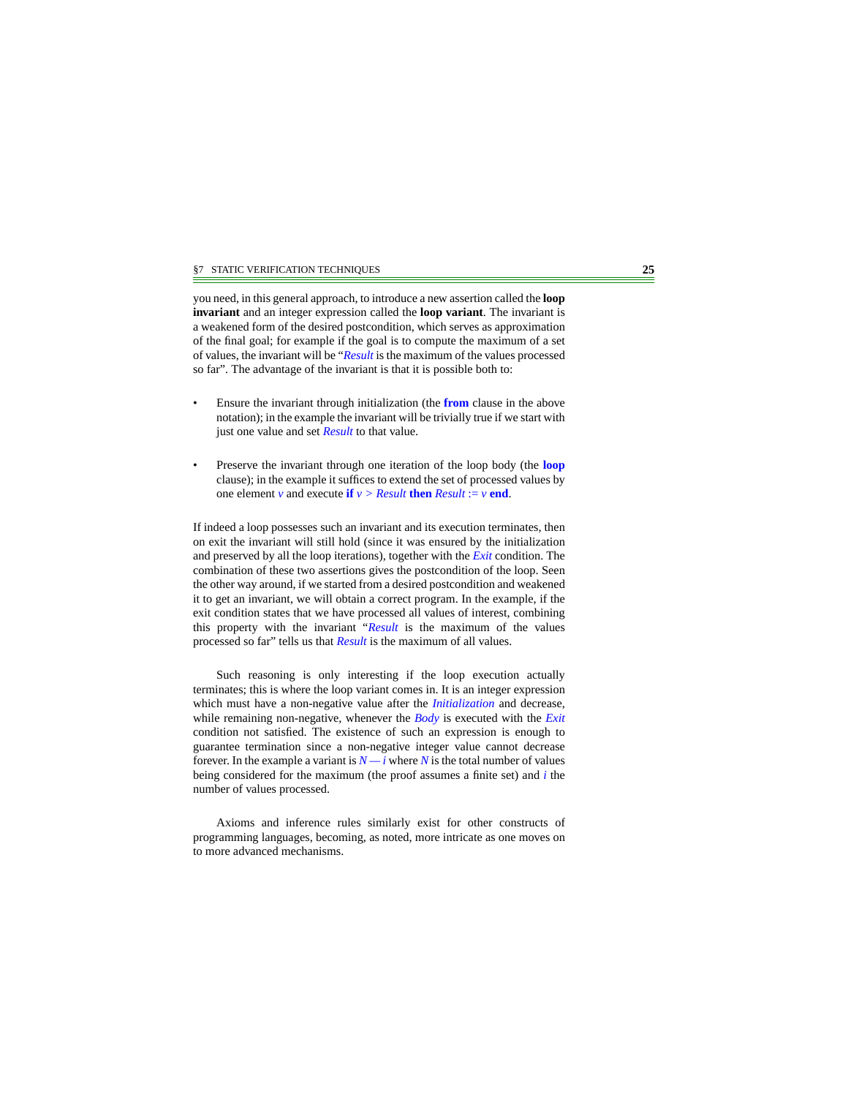you need, in this general approach, to introduce a new assertion called the **loop invariant** and an integer expression called the **loop variant**. The invariant is a weakened form of the desired postcondition, which serves as approximation of the final goal; for example if the goal is to compute the maximum of a set of values, the invariant will be "*Result* is the maximum of the values processed so far". The advantage of the invariant is that it is possible both to:

- Ensure the invariant through initialization (the **from** clause in the above notation); in the example the invariant will be trivially true if we start with just one value and set *Result* to that value.
- Preserve the invariant through one iteration of the loop body (the **loop** clause); in the example it suffices to extend the set of processed values by one element *v* and execute **if**  $v > Result$  **then**  $Result := v$  **end**.

If indeed a loop possesses such an invariant and its execution terminates, then on exit the invariant will still hold (since it was ensured by the initialization and preserved by all the loop iterations), together with the *Exit* condition. The combination of these two assertions gives the postcondition of the loop. Seen the other way around, if we started from a desired postcondition and weakened it to get an invariant, we will obtain a correct program. In the example, if the exit condition states that we have processed all values of interest, combining this property with the invariant "*Result* is the maximum of the values processed so far" tells us that *Result* is the maximum of all values.

Such reasoning is only interesting if the loop execution actually terminates; this is where the loop variant comes in. It is an integer expression which must have a non-negative value after the *Initialization* and decrease, while remaining non-negative, whenever the *Body* is executed with the *Exit* condition not satisfied. The existence of such an expression is enough to guarantee termination since a non-negative integer value cannot decrease forever. In the example a variant is  $N-i$  where N is the total number of values being considered for the maximum (the proof assumes a finite set) and *i* the number of values processed.

Axioms and inference rules similarly exist for other constructs of programming languages, becoming, as noted, more intricate as one moves on to more advanced mechanisms.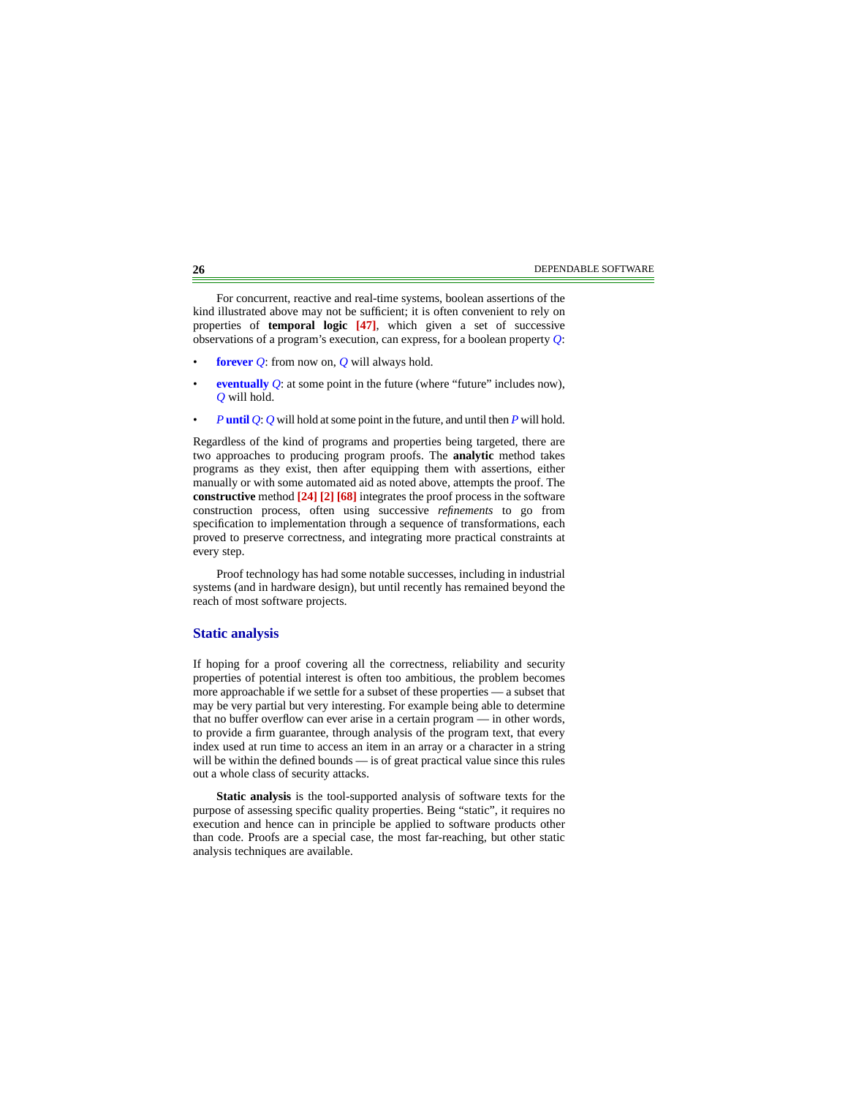For concurrent, reactive and real-time systems, boolean assertions of the kind illustrated above may not be sufficient; it is often convenient to rely on properties of **temporal logic [\[47\]](#page-39-9)**, which given a set of successive observations of a program's execution, can express, for a boolean property *Q*:

- **forever** *Q*: from now on, *Q* will always hold.
- **eventually**  $Q$ : at some point in the future (where "future" includes now), *Q* will hold.
- *P* **until** *Q*: *Q* will hold at some point in the future, and until then *P* will hold.

Regardless of the kind of programs and properties being targeted, there are two approaches to producing program proofs. The **analytic** method takes programs as they exist, then after equipping them with assertions, either manually or with some automated aid as noted above, attempts the proof. The **constructive** method **[\[24\]](#page-37-4) [\[2\]](#page-35-1) [\[68\]](#page-40-12)** integrates the proof process in the software construction process, often using successive *refinements* to go from specification to implementation through a sequence of transformations, each proved to preserve correctness, and integrating more practical constraints at every step.

Proof technology has had some notable successes, including in industrial systems (and in hardware design), but until recently has remained beyond the reach of most software projects.

### <span id="page-25-0"></span>**Static analysis**

If hoping for a proof covering all the correctness, reliability and security properties of potential interest is often too ambitious, the problem becomes more approachable if we settle for a subset of these properties — a subset that may be very partial but very interesting. For example being able to determine that no buffer overflow can ever arise in a certain program — in other words, to provide a firm guarantee, through analysis of the program text, that every index used at run time to access an item in an array or a character in a string will be within the defined bounds — is of great practical value since this rules out a whole class of security attacks.

**Static analysis** is the tool-supported analysis of software texts for the purpose of assessing specific quality properties. Being "static", it requires no execution and hence can in principle be applied to software products other than code. Proofs are a special case, the most far-reaching, but other static analysis techniques are available.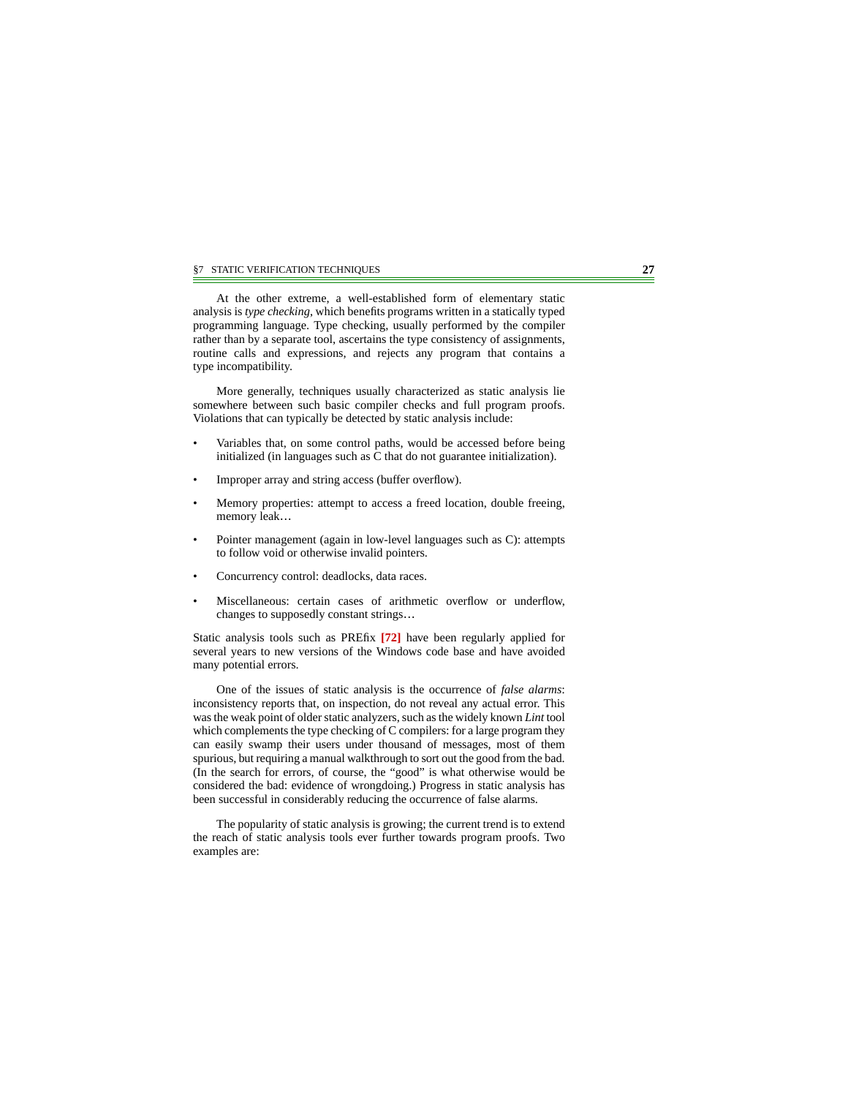At the other extreme, a well-established form of elementary static analysis is *type checking*, which benefits programs written in a statically typed programming language. Type checking, usually performed by the compiler rather than by a separate tool, ascertains the type consistency of assignments, routine calls and expressions, and rejects any program that contains a type incompatibility.

More generally, techniques usually characterized as static analysis lie somewhere between such basic compiler checks and full program proofs. Violations that can typically be detected by static analysis include:

- Variables that, on some control paths, would be accessed before being initialized (in languages such as C that do not guarantee initialization).
- Improper array and string access (buffer overflow).
- Memory properties: attempt to access a freed location, double freeing, memory leak…
- Pointer management (again in low-level languages such as C): attempts to follow void or otherwise invalid pointers.
- Concurrency control: deadlocks, data races.
- Miscellaneous: certain cases of arithmetic overflow or underflow, changes to supposedly constant strings…

Static analysis tools such as PREfix **[\[72\]](#page-41-8)** have been regularly applied for several years to new versions of the Windows code base and have avoided many potential errors.

One of the issues of static analysis is the occurrence of *false alarms*: inconsistency reports that, on inspection, do not reveal any actual error. This was the weak point of older static analyzers, such as the widely known *Lint* tool which complements the type checking of C compilers: for a large program they can easily swamp their users under thousand of messages, most of them spurious, but requiring a manual walkthrough to sort out the good from the bad. (In the search for errors, of course, the "good" is what otherwise would be considered the bad: evidence of wrongdoing.) Progress in static analysis has been successful in considerably reducing the occurrence of false alarms.

The popularity of static analysis is growing; the current trend is to extend the reach of static analysis tools ever further towards program proofs. Two examples are: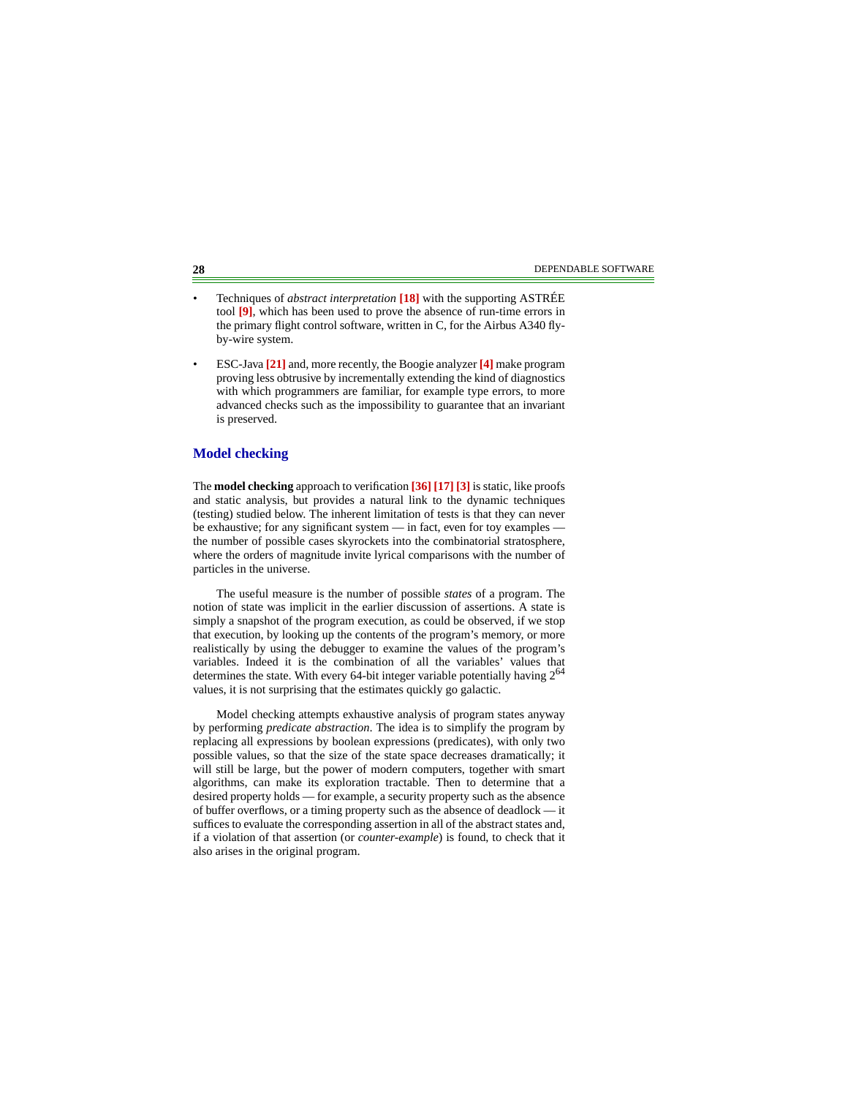- Techniques of *abstract interpretation* **[\[18\]](#page-37-5)** with the supporting ASTRÉE tool **[\[9\]](#page-36-6)**, which has been used to prove the absence of run-time errors in the primary flight control software, written in C, for the Airbus A340 flyby-wire system.
- ESC-Java **[\[21\]](#page-37-6)** and, more recently, the Boogie analyzer **[\[4\]](#page-36-5)** make program proving less obtrusive by incrementally extending the kind of diagnostics with which programmers are familiar, for example type errors, to more advanced checks such as the impossibility to guarantee that an invariant is preserved.

### **Model checking**

The **model checking** approach to verification **[\[36\]](#page-38-9) [\[17\]](#page-37-7) [\[3\]](#page-36-7)** is static, like proofs and static analysis, but provides a natural link to the dynamic techniques (testing) studied below. The inherent limitation of tests is that they can never be exhaustive; for any significant system — in fact, even for toy examples the number of possible cases skyrockets into the combinatorial stratosphere, where the orders of magnitude invite lyrical comparisons with the number of particles in the universe.

The useful measure is the number of possible *states* of a program. The notion of state was implicit in the earlier discussion of assertions. A state is simply a snapshot of the program execution, as could be observed, if we stop that execution, by looking up the contents of the program's memory, or more realistically by using the debugger to examine the values of the program's variables. Indeed it is the combination of all the variables' values that determines the state. With every 64-bit integer variable potentially having  $2^{64}$ values, it is not surprising that the estimates quickly go galactic.

Model checking attempts exhaustive analysis of program states anyway by performing *predicate abstraction*. The idea is to simplify the program by replacing all expressions by boolean expressions (predicates), with only two possible values, so that the size of the state space decreases dramatically; it will still be large, but the power of modern computers, together with smart algorithms, can make its exploration tractable. Then to determine that a desired property holds — for example, a security property such as the absence of buffer overflows, or a timing property such as the absence of deadlock — it suffices to evaluate the corresponding assertion in all of the abstract states and, if a violation of that assertion (or *counter-example*) is found, to check that it also arises in the original program.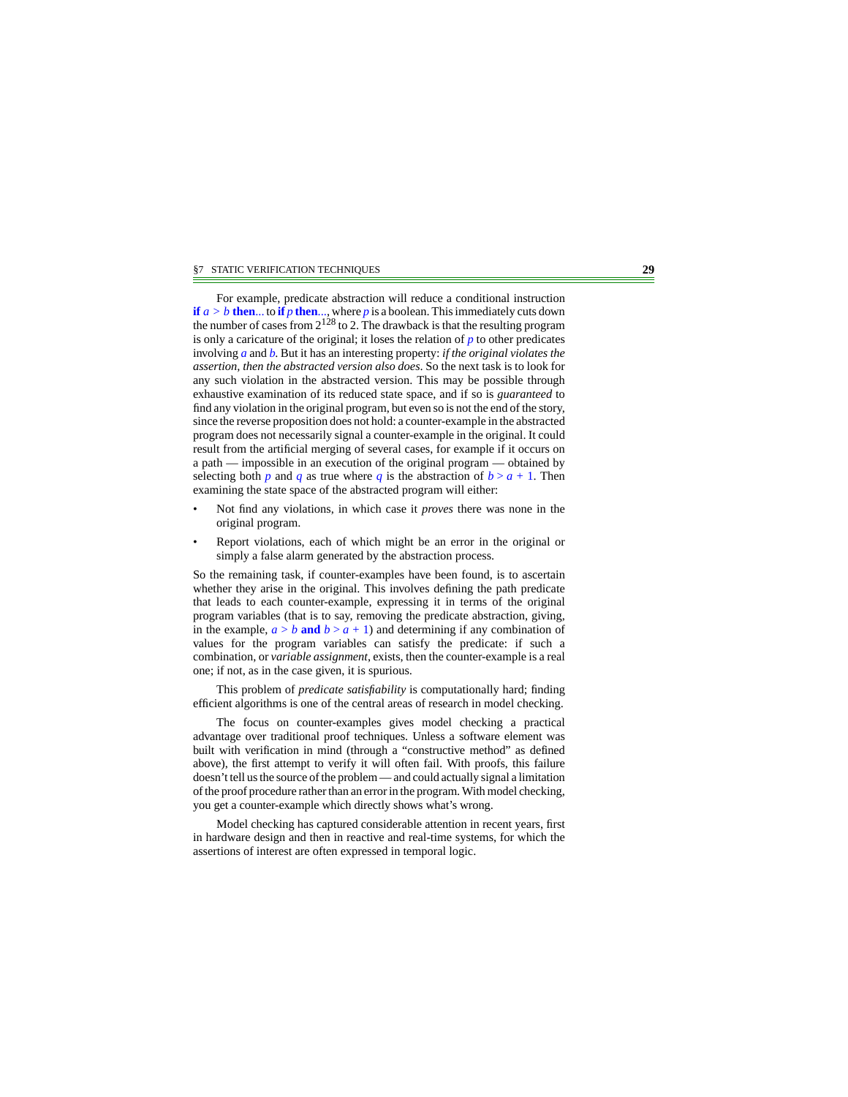For example, predicate abstraction will reduce a conditional instruction **if**  $a > b$  **then**... to **if**  $p$  **then**..., where  $p$  is a boolean. This immediately cuts down the number of cases from  $2^{128}$  to 2. The drawback is that the resulting program is only a caricature of the original; it loses the relation of  $p$  to other predicates involving *a* and *b*. But it has an interesting property: *if the original violates the assertion, then the abstracted version also does*. So the next task is to look for any such violation in the abstracted version. This may be possible through exhaustive examination of its reduced state space, and if so is *guaranteed* to find any violation in the original program, but even so is not the end of the story, since the reverse proposition does not hold: a counter-example in the abstracted program does not necessarily signal a counter-example in the original. It could result from the artificial merging of several cases, for example if it occurs on a path — impossible in an execution of the original program — obtained by selecting both *p* and *q* as true where *q* is the abstraction of  $b > a + 1$ . Then examining the state space of the abstracted program will either:

- Not find any violations, in which case it *proves* there was none in the original program.
- Report violations, each of which might be an error in the original or simply a false alarm generated by the abstraction process.

So the remaining task, if counter-examples have been found, is to ascertain whether they arise in the original. This involves defining the path predicate that leads to each counter-example, expressing it in terms of the original program variables (that is to say, removing the predicate abstraction, giving, in the example,  $a > b$  and  $b > a + 1$ ) and determining if any combination of values for the program variables can satisfy the predicate: if such a combination, or *variable assignment*, exists, then the counter-example is a real one; if not, as in the case given, it is spurious.

This problem of *predicate satisfiability* is computationally hard; finding efficient algorithms is one of the central areas of research in model checking.

The focus on counter-examples gives model checking a practical advantage over traditional proof techniques. Unless a software element was built with verification in mind (through a "constructive method" as defined above), the first attempt to verify it will often fail. With proofs, this failure doesn't tell us the source of the problem — and could actually signal a limitation of the proof procedure rather than an error in the program. With model checking, you get a counter-example which directly shows what's wrong.

Model checking has captured considerable attention in recent years, first in hardware design and then in reactive and real-time systems, for which the assertions of interest are often expressed in temporal logic.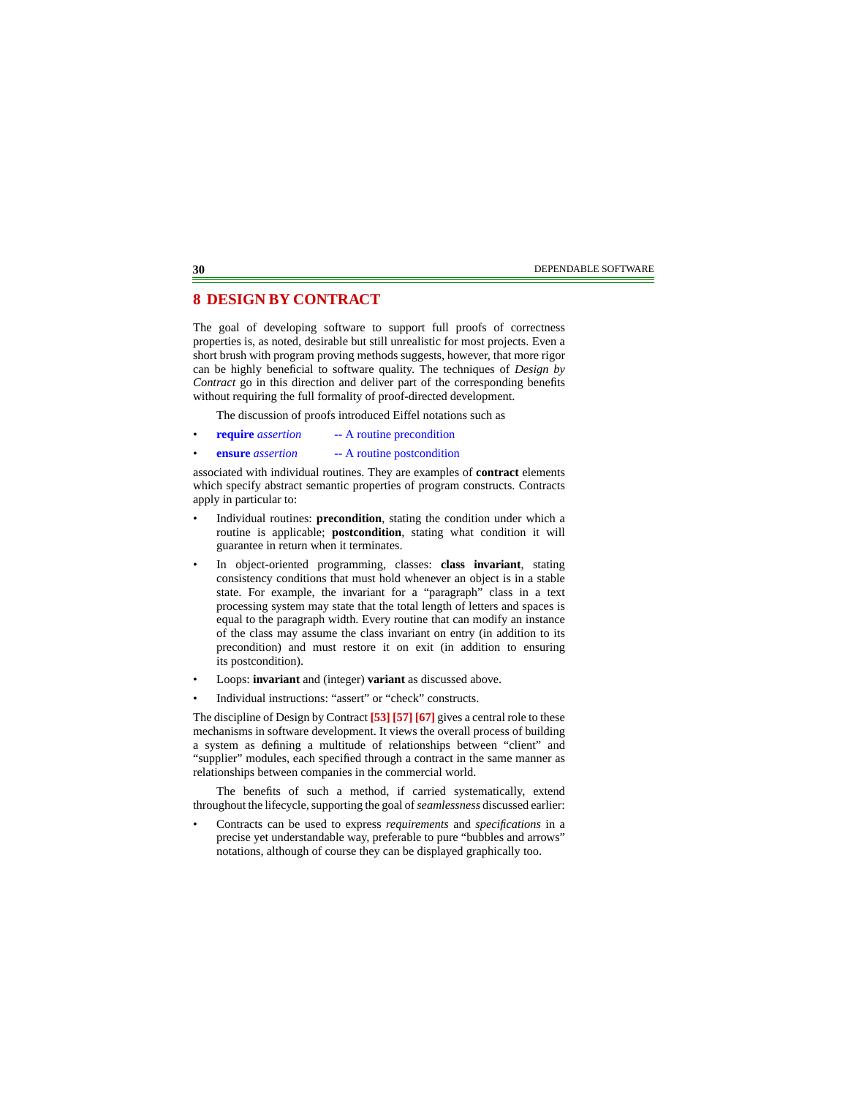## <span id="page-29-0"></span>**8 DESIGN BY CONTRACT**

The goal of developing software to support full proofs of correctness properties is, as noted, desirable but still unrealistic for most projects. Even a short brush with program proving methods suggests, however, that more rigor can be highly beneficial to software quality. The techniques of *Design by Contract* go in this direction and deliver part of the corresponding benefits without requiring the full formality of proof-directed development.

The discussion of proofs introduced Eiffel notations such as

- **require** *assertion* -- A routine precondition
- **ensure** *assertion* -- A routine postcondition

associated with individual routines. They are examples of **contract** elements which specify abstract semantic properties of program constructs. Contracts apply in particular to:

- Individual routines: **precondition**, stating the condition under which a routine is applicable; **postcondition**, stating what condition it will guarantee in return when it terminates.
- In object-oriented programming, classes: **class invariant**, stating consistency conditions that must hold whenever an object is in a stable state. For example, the invariant for a "paragraph" class in a text processing system may state that the total length of letters and spaces is equal to the paragraph width. Every routine that can modify an instance of the class may assume the class invariant on entry (in addition to its precondition) and must restore it on exit (in addition to ensuring its postcondition).
- Loops: **invariant** and (integer) **variant** as discussed above.
- Individual instructions: "assert" or "check" constructs.

The discipline of Design by Contract **[\[53\]](#page-39-10) [\[57\]](#page-40-1) [\[67\]](#page-40-13)** gives a central role to these mechanisms in software development. It views the overall process of building a system as defining a multitude of relationships between "client" and "supplier" modules, each specified through a contract in the same manner as relationships between companies in the commercial world.

The benefits of such a method, if carried systematically, extend throughout the lifecycle, supporting the goal of*seamlessness* discussed earlier:

• Contracts can be used to express *requirements* and *specifications* in a precise yet understandable way, preferable to pure "bubbles and arrows" notations, although of course they can be displayed graphically too.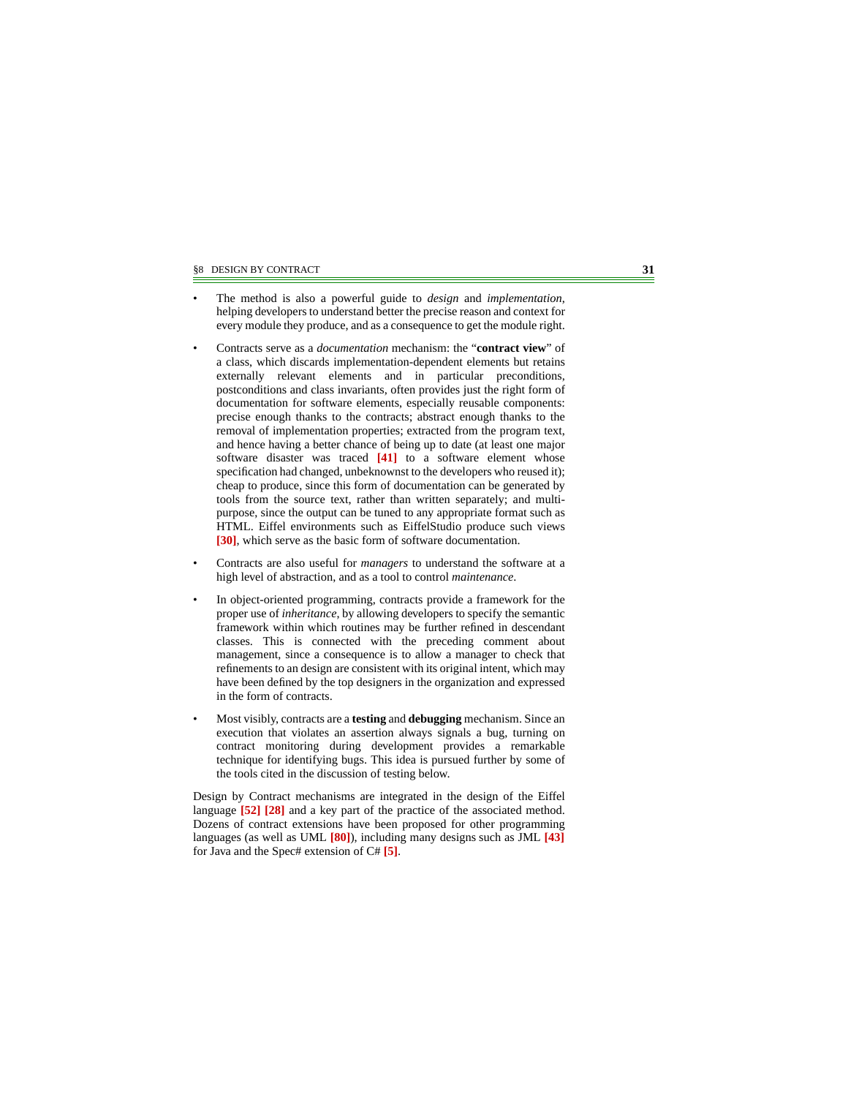- The method is also a powerful guide to *design* and *implementation*, helping developers to understand better the precise reason and context for every module they produce, and as a consequence to get the module right.
- Contracts serve as a *documentation* mechanism: the "**contract view**" of a class, which discards implementation-dependent elements but retains externally relevant elements and in particular preconditions, postconditions and class invariants, often provides just the right form of documentation for software elements, especially reusable components: precise enough thanks to the contracts; abstract enough thanks to the removal of implementation properties; extracted from the program text, and hence having a better chance of being up to date (at least one major software disaster was traced **[\[41\]](#page-39-11)** to a software element whose specification had changed, unbeknownst to the developers who reused it); cheap to produce, since this form of documentation can be generated by tools from the source text, rather than written separately; and multipurpose, since the output can be tuned to any appropriate format such as HTML. Eiffel environments such as EiffelStudio produce such views **[\[30\]](#page-38-4)**, which serve as the basic form of software documentation.
- Contracts are also useful for *managers* to understand the software at a high level of abstraction, and as a tool to control *maintenance*.
- In object-oriented programming, contracts provide a framework for the proper use of *inheritance*, by allowing developers to specify the semantic framework within which routines may be further refined in descendant classes. This is connected with the preceding comment about management, since a consequence is to allow a manager to check that refinements to an design are consistent with its original intent, which may have been defined by the top designers in the organization and expressed in the form of contracts.
- Most visibly, contracts are a **testing** and **debugging** mechanism. Since an execution that violates an assertion always signals a bug, turning on contract monitoring during development provides a remarkable technique for identifying bugs. This idea is pursued further by some of the tools cited in the discussion of testing below.

Design by Contract mechanisms are integrated in the design of the Eiffel language **[\[52\]](#page-39-12) [\[28\]](#page-38-10)** and a key part of the practice of the associated method. Dozens of contract extensions have been proposed for other programming languages (as well as UML **[\[80\]](#page-41-9)**), including many designs such as JML **[\[43\]](#page-39-8)** for Java and the Spec# extension of C# **[\[5\]](#page-36-4)**.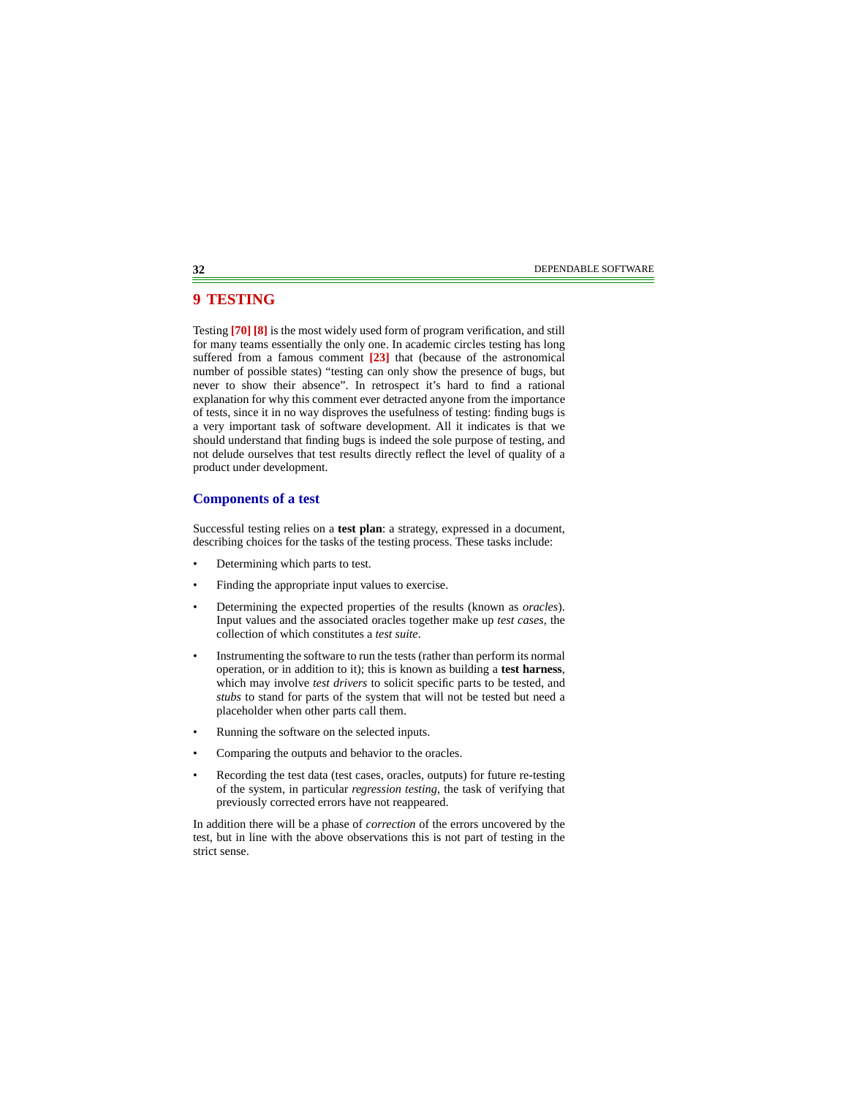## **9 TESTING**

Testing **[\[70\]](#page-41-10) [\[8\]](#page-36-8)** is the most widely used form of program verification, and still for many teams essentially the only one. In academic circles testing has long suffered from a famous comment **[\[23\]](#page-37-8)** that (because of the astronomical number of possible states) "testing can only show the presence of bugs, but never to show their absence". In retrospect it's hard to find a rational explanation for why this comment ever detracted anyone from the importance of tests, since it in no way disproves the usefulness of testing: finding bugs is a very important task of software development. All it indicates is that we should understand that finding bugs is indeed the sole purpose of testing, and not delude ourselves that test results directly reflect the level of quality of a product under development.

## **Components of a test**

Successful testing relies on a **test plan**: a strategy, expressed in a document, describing choices for the tasks of the testing process. These tasks include:

- Determining which parts to test.
- Finding the appropriate input values to exercise.
- Determining the expected properties of the results (known as *oracles*). Input values and the associated oracles together make up *test cases*, the collection of which constitutes a *test suite*.
- Instrumenting the software to run the tests (rather than perform its normal operation, or in addition to it); this is known as building a **test harness**, which may involve *test drivers* to solicit specific parts to be tested, and *stubs* to stand for parts of the system that will not be tested but need a placeholder when other parts call them.
- Running the software on the selected inputs.
- Comparing the outputs and behavior to the oracles.
- Recording the test data (test cases, oracles, outputs) for future re-testing of the system, in particular *regression testing*, the task of verifying that previously corrected errors have not reappeared.

In addition there will be a phase of *correction* of the errors uncovered by the test, but in line with the above observations this is not part of testing in the strict sense.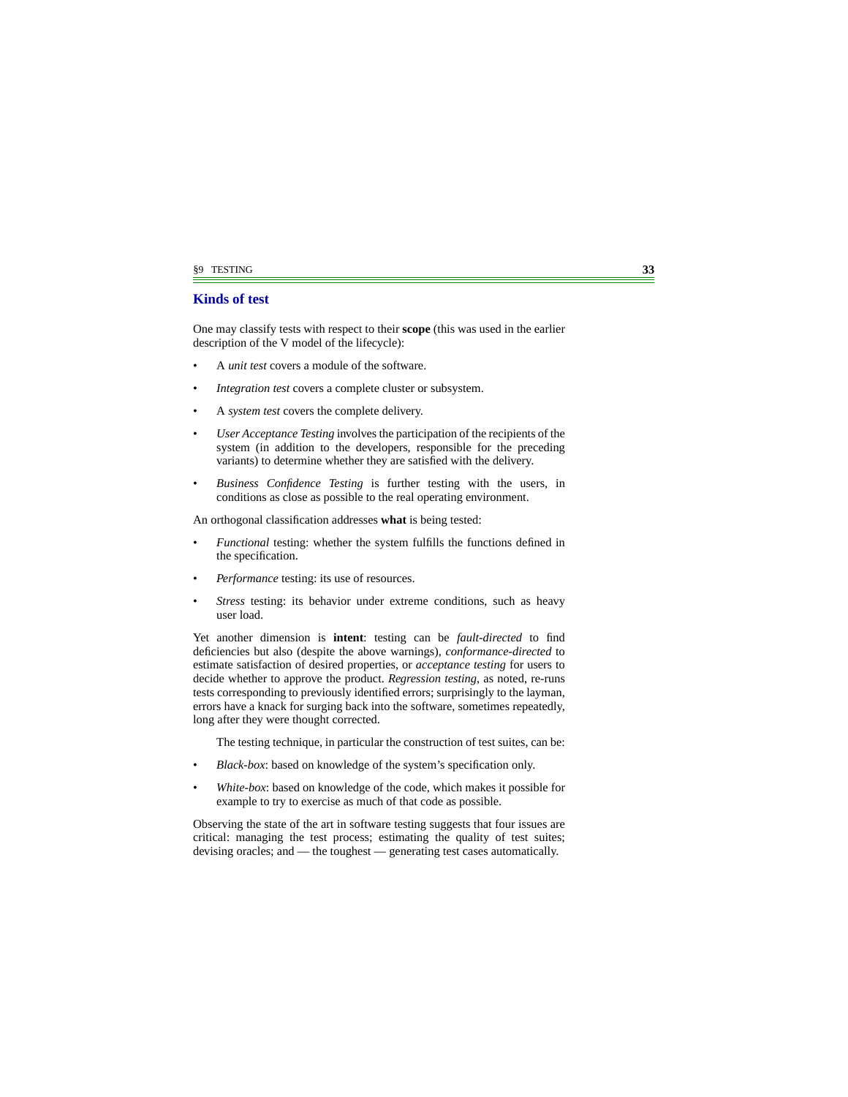## **Kinds of test**

One may classify tests with respect to their **scope** (this was used in the earlier description of the V model of the lifecycle):

- A *unit test* covers a module of the software.
- *Integration test* covers a complete cluster or subsystem.
- A *system test* covers the complete delivery.
- *User Acceptance Testing* involves the participation of the recipients of the system (in addition to the developers, responsible for the preceding variants) to determine whether they are satisfied with the delivery.
- *Business Confidence Testing* is further testing with the users, in conditions as close as possible to the real operating environment.

An orthogonal classification addresses **what** is being tested:

- *Functional* testing: whether the system fulfills the functions defined in the specification.
- *Performance* testing: its use of resources.
- *Stress* testing: its behavior under extreme conditions, such as heavy user load.

Yet another dimension is **intent**: testing can be *fault-directed* to find deficiencies but also (despite the above warnings), *conformance-directed* to estimate satisfaction of desired properties, or *acceptance testing* for users to decide whether to approve the product. *Regression testing*, as noted, re-runs tests corresponding to previously identified errors; surprisingly to the layman, errors have a knack for surging back into the software, sometimes repeatedly, long after they were thought corrected.

The testing technique, in particular the construction of test suites, can be:

- *Black-box*: based on knowledge of the system's specification only.
- *White-box*: based on knowledge of the code, which makes it possible for example to try to exercise as much of that code as possible.

Observing the state of the art in software testing suggests that four issues are critical: managing the test process; estimating the quality of test suites; devising oracles; and — the toughest — generating test cases automatically.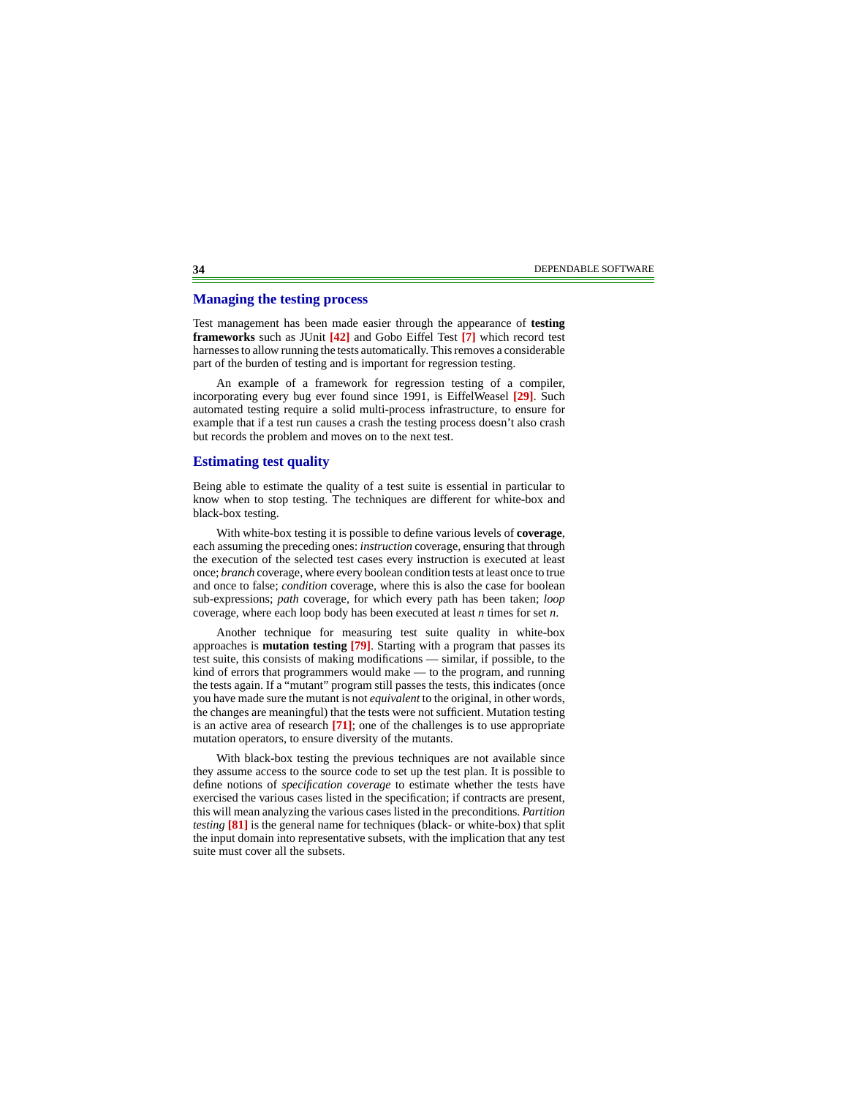#### **Managing the testing process**

Test management has been made easier through the appearance of **testing frameworks** such as JUnit **[\[42\]](#page-39-13)** and Gobo Eiffel Test **[\[7\]](#page-36-9)** which record test harnesses to allow running the tests automatically. This removes a considerable part of the burden of testing and is important for regression testing.

An example of a framework for regression testing of a compiler, incorporating every bug ever found since 1991, is EiffelWeasel **[\[29\]](#page-38-11)**. Such automated testing require a solid multi-process infrastructure, to ensure for example that if a test run causes a crash the testing process doesn't also crash but records the problem and moves on to the next test.

#### **Estimating test quality**

Being able to estimate the quality of a test suite is essential in particular to know when to stop testing. The techniques are different for white-box and black-box testing.

With white-box testing it is possible to define various levels of **coverage**, each assuming the preceding ones: *instruction* coverage, ensuring that through the execution of the selected test cases every instruction is executed at least once; *branch* coverage, where every boolean condition tests at least once to true and once to false; *condition* coverage, where this is also the case for boolean sub-expressions; *path* coverage, for which every path has been taken; *loop* coverage, where each loop body has been executed at least *n* times for set *n*.

Another technique for measuring test suite quality in white-box approaches is **mutation testing [\[79\]](#page-41-11)**. Starting with a program that passes its test suite, this consists of making modifications — similar, if possible, to the kind of errors that programmers would make — to the program, and running the tests again. If a "mutant" program still passes the tests, this indicates (once you have made sure the mutant is not *equivalent* to the original, in other words, the changes are meaningful) that the tests were not sufficient. Mutation testing is an active area of research **[\[71\]](#page-41-13)**; one of the challenges is to use appropriate mutation operators, to ensure diversity of the mutants.

With black-box testing the previous techniques are not available since they assume access to the source code to set up the test plan. It is possible to define notions of *specification coverage* to estimate whether the tests have exercised the various cases listed in the specification; if contracts are present, this will mean analyzing the various cases listed in the preconditions. *Partition testing* **[\[81\]](#page-41-12)** is the general name for techniques (black- or white-box) that split the input domain into representative subsets, with the implication that any test suite must cover all the subsets.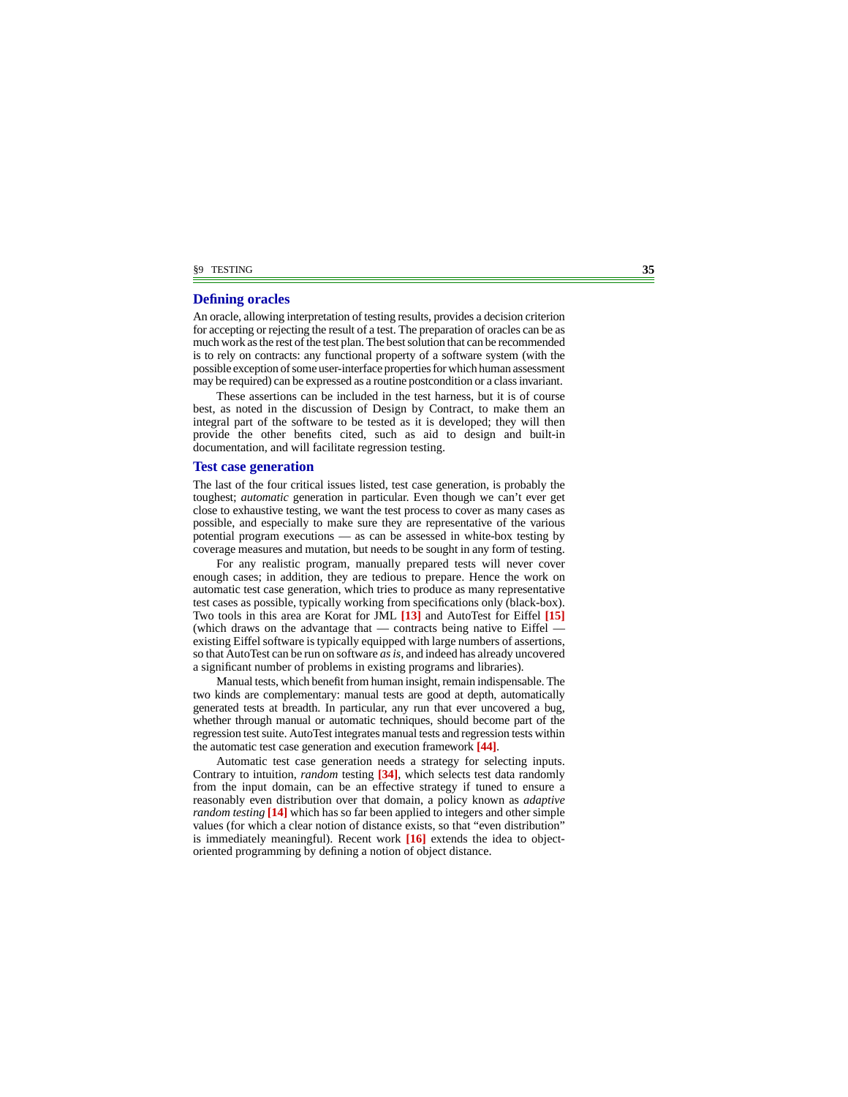### **Defining oracles**

An oracle, allowing interpretation of testing results, provides a decision criterion for accepting or rejecting the result of a test. The preparation of oracles can be as much work as the rest of the test plan. The best solution that can be recommended is to rely on contracts: any functional property of a software system (with the possible exception of some user-interface properties for which human assessment may be required) can be expressed as a routine postcondition or a class invariant.

These assertions can be included in the test harness, but it is of course best, as noted in the discussion of Design by Contract, to make them an integral part of the software to be tested as it is developed; they will then provide the other benefits cited, such as aid to design and built-in documentation, and will facilitate regression testing.

#### **Test case generation**

The last of the four critical issues listed, test case generation, is probably the toughest; *automatic* generation in particular. Even though we can't ever get close to exhaustive testing, we want the test process to cover as many cases as possible, and especially to make sure they are representative of the various potential program executions — as can be assessed in white-box testing by coverage measures and mutation, but needs to be sought in any form of testing.

For any realistic program, manually prepared tests will never cover enough cases; in addition, they are tedious to prepare. Hence the work on automatic test case generation, which tries to produce as many representative test cases as possible, typically working from specifications only (black-box). Two tools in this area are Korat for JML **[\[13\]](#page-36-10)** and AutoTest for Eiffel **[\[15\]](#page-37-10)** (which draws on the advantage that — contracts being native to Eiffel existing Eiffel software is typically equipped with large numbers of assertions, so that AutoTest can be run on software *as is*, and indeed has already uncovered a significant number of problems in existing programs and libraries).

Manual tests, which benefit from human insight, remain indispensable. The two kinds are complementary: manual tests are good at depth, automatically generated tests at breadth. In particular, any run that ever uncovered a bug, whether through manual or automatic techniques, should become part of the regression test suite. AutoTest integrates manual tests and regression tests within the automatic test case generation and execution framework **[\[44\]](#page-39-14)**.

Automatic test case generation needs a strategy for selecting inputs. Contrary to intuition, *random* testing **[\[34\]](#page-38-12)**, which selects test data randomly from the input domain, can be an effective strategy if tuned to ensure a reasonably even distribution over that domain, a policy known as *adaptive random testing* **[\[14\]](#page-37-9)** which has so far been applied to integers and other simple values (for which a clear notion of distance exists, so that "even distribution" is immediately meaningful). Recent work **[\[16\]](#page-37-11)** extends the idea to objectoriented programming by defining a notion of object distance.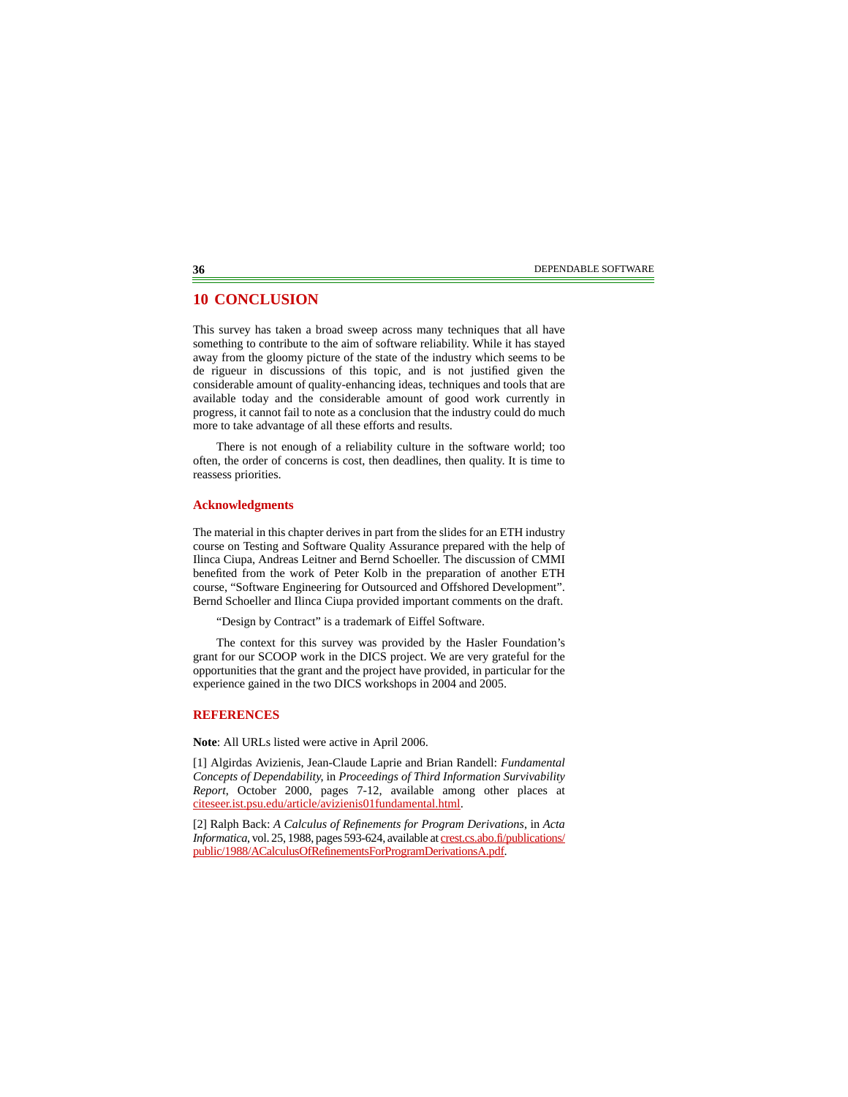## **10 CONCLUSION**

This survey has taken a broad sweep across many techniques that all have something to contribute to the aim of software reliability. While it has stayed away from the gloomy picture of the state of the industry which seems to be de rigueur in discussions of this topic, and is not justified given the considerable amount of quality-enhancing ideas, techniques and tools that are available today and the considerable amount of good work currently in progress, it cannot fail to note as a conclusion that the industry could do much more to take advantage of all these efforts and results.

There is not enough of a reliability culture in the software world; too often, the order of concerns is cost, then deadlines, then quality. It is time to reassess priorities.

### **Acknowledgments**

The material in this chapter derives in part from the slides for an ETH industry course on Testing and Software Quality Assurance prepared with the help of Ilinca Ciupa, Andreas Leitner and Bernd Schoeller. The discussion of CMMI benefited from the work of Peter Kolb in the preparation of another ETH course, "Software Engineering for Outsourced and Offshored Development". Bernd Schoeller and Ilinca Ciupa provided important comments on the draft.

"Design by Contract" is a trademark of Eiffel Software.

The context for this survey was provided by the Hasler Foundation's grant for our SCOOP work in the DICS project. We are very grateful for the opportunities that the grant and the project have provided, in particular for the experience gained in the two DICS workshops in 2004 and 2005.

#### **REFERENCES**

**Note**: All URLs listed were active in April 2006.

<span id="page-35-0"></span>[1] Algirdas Avizienis, Jean-Claude Laprie and Brian Randell: *Fundamental Concepts of Dependability*, in *Proceedings of Third Information Survivability Report*, October 2000, pages 7-12, available among other places at [citeseer.ist.psu.edu/article/avizienis01fundamental.html](http://citeseer.ist.psu.edu/article/avizienis01fundamental.html).

<span id="page-35-1"></span>[2] Ralph Back: *A Calculus of Refinements for Program Derivations*, in *Acta Informatica*, vol. 25, 1988, pages 593-624, available at **[crest.cs.abo.fi/publications/](http://crest.cs.abo.fi/publications/public/1988/ACalculusOfRefinementsForProgramDerivationsA.pdf)** [public/1988/ACalculusOfRefinementsForProgramDerivationsA.pdf](http://crest.cs.abo.fi/publications/public/1988/ACalculusOfRefinementsForProgramDerivationsA.pdf).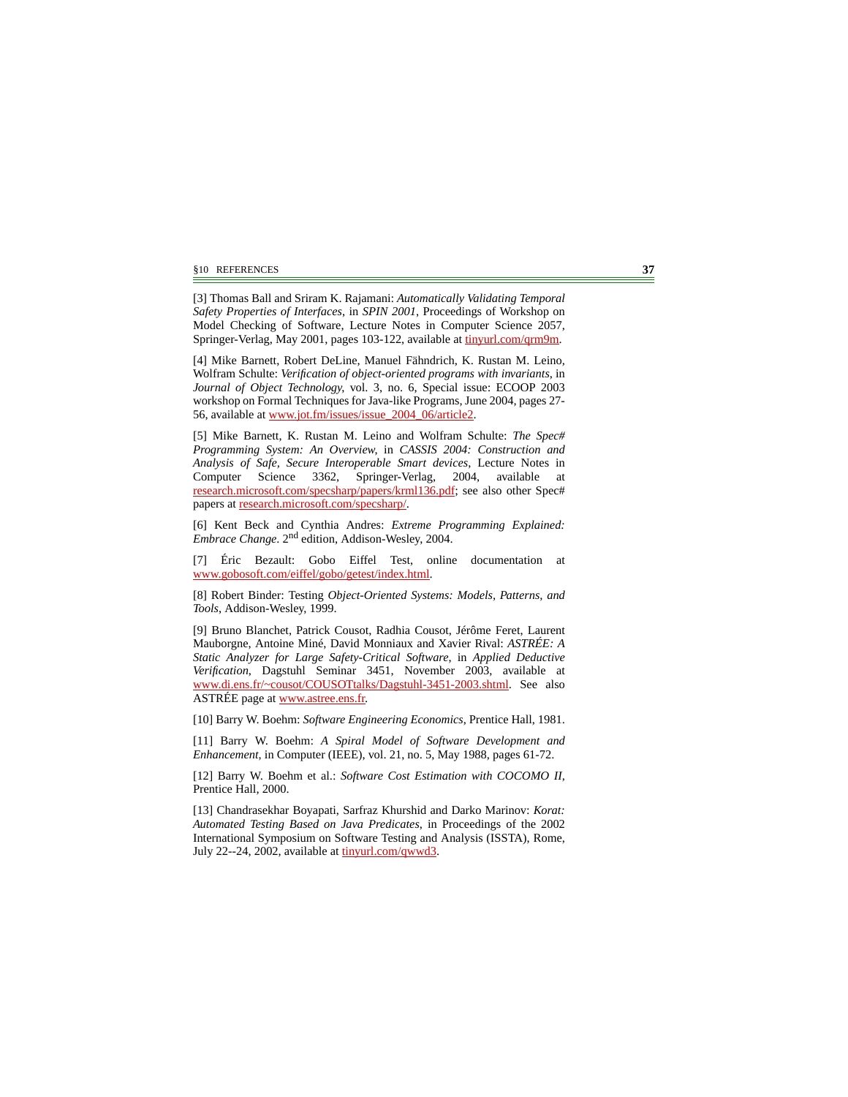<span id="page-36-7"></span>[3] Thomas Ball and Sriram K. Rajamani: *Automatically Validating Temporal Safety Properties of Interfaces*, in *SPIN 2001*, Proceedings of Workshop on Model Checking of Software, Lecture Notes in Computer Science 2057, Springer-Verlag, May 2001, pages 103-122, available at [tinyurl.com/qrm9m.](http://tinyurl.com/qrm9m)

<span id="page-36-5"></span>[4] Mike Barnett, Robert DeLine, Manuel Fähndrich, K. Rustan M. Leino, Wolfram Schulte: *Verification of object-oriented programs with invariants*, in *Journal of Object Technology*, vol. 3, no. 6, Special issue: ECOOP 2003 workshop on Formal Techniques for Java-like Programs, June 2004, pages 27- 56, available at [www.jot.fm/issues/issue\\_2004\\_06/article2.](http://www.jot.fm/issues/issue_2004_06/article2)

<span id="page-36-4"></span>[5] Mike Barnett, K. Rustan M. Leino and Wolfram Schulte: *The Spec# Programming System: An Overview*, in *CASSIS 2004: Construction and Analysis of Safe, Secure Interoperable Smart devices*, Lecture Notes in Computer Science 3362, Springer-Verlag, 2004, available [research.microsoft.com/specsharp/papers/krml136.pdf;](http://research.microsoft.com/specsharp/papers/krml136.pdf) see also other Spec# papers at [research.microsoft.com/specsharp/](http://research.microsoft.com/specsharp/).

<span id="page-36-2"></span>[6] Kent Beck and Cynthia Andres: *Extreme Programming Explained: Embrace Change*. 2nd edition, Addison-Wesley, 2004.

<span id="page-36-9"></span>[7] Éric Bezault: Gobo Eiffel Test, online documentation at [www.gobosoft.com/eiffel/gobo/getest/index.html](http://www.gobosoft.com/eiffel/gobo/getest/index.html).

<span id="page-36-8"></span>[8] Robert Binder: Testing *Object-Oriented Systems: Models, Patterns, and Tools*, Addison-Wesley, 1999.

<span id="page-36-6"></span>[9] Bruno Blanchet, Patrick Cousot, Radhia Cousot, Jérôme Feret, Laurent Mauborgne, Antoine Miné, David Monniaux and Xavier Rival: *ASTRÉE: A Static Analyzer for Large Safety-Critical Software*, in *Applied Deductive Verification*, Dagstuhl Seminar 3451, November 2003, available at [www.di.ens.fr/~cousot/COUSOTtalks/Dagstuhl-3451-2003.shtml](http://www.di.ens.fr/~cousot/COUSOTtalks/Dagstuhl-3451-2003.shtml). See also ASTRÉE page at [www.astree.ens.fr.](http://www.astree.ens.fr)

<span id="page-36-0"></span>[10] Barry W. Boehm: *Software Engineering Economics*, Prentice Hall, 1981.

<span id="page-36-1"></span>[11] Barry W. Boehm: *A Spiral Model of Software Development and Enhancement*, in Computer (IEEE), vol. 21, no. 5, May 1988, pages 61-72.

<span id="page-36-3"></span>[12] Barry W. Boehm et al.: *Software Cost Estimation with COCOMO II*, Prentice Hall, 2000.

<span id="page-36-10"></span>[13] Chandrasekhar Boyapati, Sarfraz Khurshid and Darko Marinov: *Korat: Automated Testing Based on Java Predicates*, in Proceedings of the 2002 International Symposium on Software Testing and Analysis (ISSTA), Rome, July 22--24, 2002, available at [tinyurl.com/qwwd3](http://tinyurl.com/qwwd3).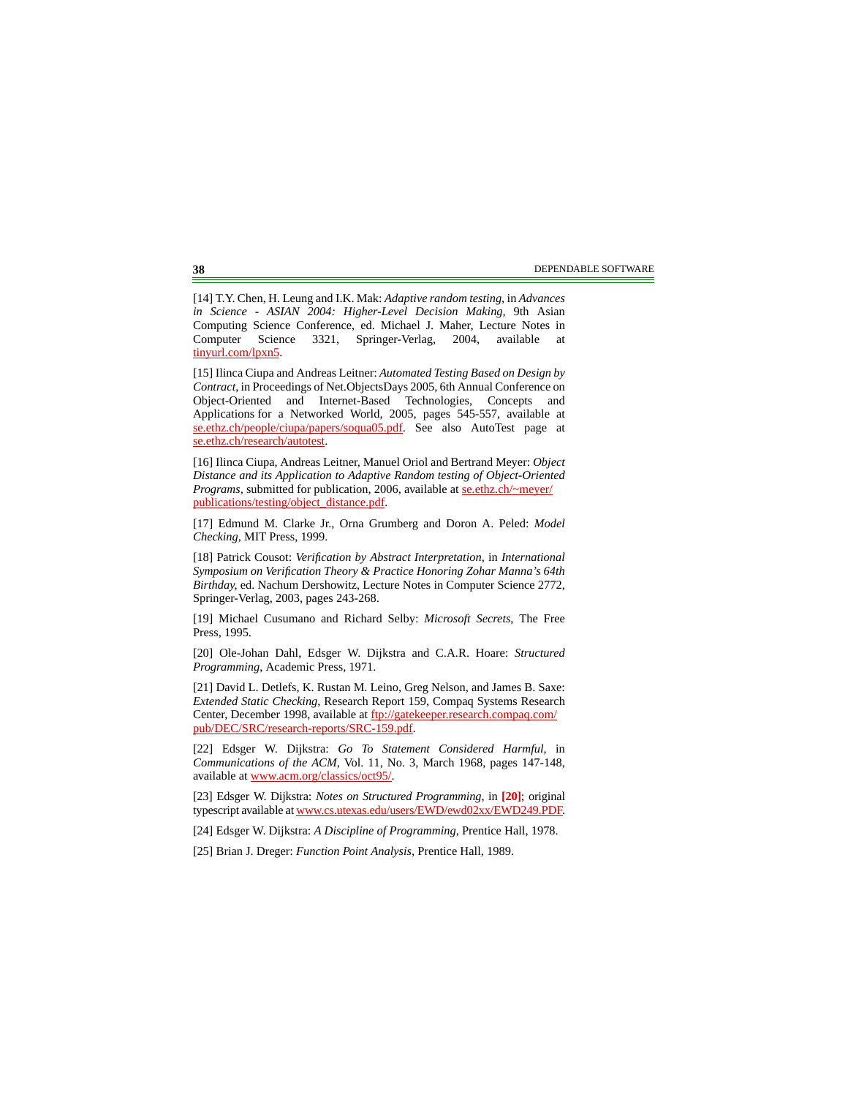<span id="page-37-9"></span>[14] T.Y. Chen, H. Leung and I.K. Mak: *Adaptive random testing*, in *Advances in Science - ASIAN 2004: Higher-Level Decision Making*, 9th Asian Computing Science Conference, ed. Michael J. Maher, Lecture Notes in Computer Science 3321, Springer-Verlag, 2004, available at [tinyurl.com/lpxn5.](http://tinyurl.com/lpxn5)

<span id="page-37-10"></span>[15] Ilinca Ciupa and Andreas Leitner: *Automated Testing Based on Design by Contract*, in Proceedings of Net.ObjectsDays 2005, 6th Annual Conference on Object-Oriented and Internet-Based Technologies, Concepts and Applications for a Networked World, 2005, pages 545-557, available at [se.ethz.ch/people/ciupa/papers/soqua05.pdf.](http://se.ethz.ch/people/ciupa/papers/soqua05.pdf) See also AutoTest page at [se.ethz.ch/research/autotest.](http://se.ethz.ch/research/autotest.html)

<span id="page-37-11"></span>[16] Ilinca Ciupa, Andreas Leitner, Manuel Oriol and Bertrand Meyer: *Object Distance and its Application to Adaptive Random testing of Object-Oriented Programs*, submitted for publication, 2006, available at [se.ethz.ch/~meyer/](http://se.ethz.ch/~meyer/publications/testing/object_distance.pdf) [publications/testing/object\\_distance.pdf.](http://se.ethz.ch/~meyer/publications/testing/object_distance.pdf)

<span id="page-37-7"></span>[17] Edmund M. Clarke Jr., Orna Grumberg and Doron A. Peled: *Model Checking*, MIT Press, 1999.

<span id="page-37-5"></span>[18] Patrick Cousot: *Verification by Abstract Interpretation*, in *International Symposium on Verification Theory & Practice Honoring Zohar Manna's 64th Birthday*, ed. Nachum Dershowitz, Lecture Notes in Computer Science 2772, Springer-Verlag, 2003, pages 243-268.

<span id="page-37-0"></span>[19] Michael Cusumano and Richard Selby: *Microsoft Secrets*, The Free Press, 1995.

<span id="page-37-2"></span>[20] Ole-Johan Dahl, Edsger W. Dijkstra and C.A.R. Hoare: *Structured Programming*, Academic Press, 1971.

<span id="page-37-6"></span>[21] David L. Detlefs, K. Rustan M. Leino, Greg Nelson, and James B. Saxe: *Extended Static Checking*, Research Report 159, Compaq Systems Research Center, December 1998, available at [ftp://gatekeeper.research.compaq.com/](ftp://gatekeeper.research.compaq.com/pub/DEC/SRC/research-reports/SRC-159.pdf) [pub/DEC/SRC/research-reports/SRC-159.pdf](ftp://gatekeeper.research.compaq.com/pub/DEC/SRC/research-reports/SRC-159.pdf).

<span id="page-37-3"></span>[22] Edsger W. Dijkstra: *Go To Statement Considered Harmful*, in *Communications of the ACM*, Vol. 11, No. 3, March 1968, pages 147-148, available at [www.acm.org/classics/oct95/.](http://www.acm.org/classics/oct95/)

<span id="page-37-8"></span>[23] Edsger W. Dijkstra: *Notes on Structured Programming*, in **[\[20\]](#page-37-2)**; original typescript available at [www.cs.utexas.edu/users/EWD/ewd02xx/EWD249.PDF.](http://www.cs.utexas.edu/users/EWD/ewd02xx/EWD249.PDF)

<span id="page-37-4"></span>[24] Edsger W. Dijkstra: *A Discipline of Programming*, Prentice Hall, 1978.

<span id="page-37-1"></span>[25] Brian J. Dreger: *Function Point Analysis*, Prentice Hall, 1989.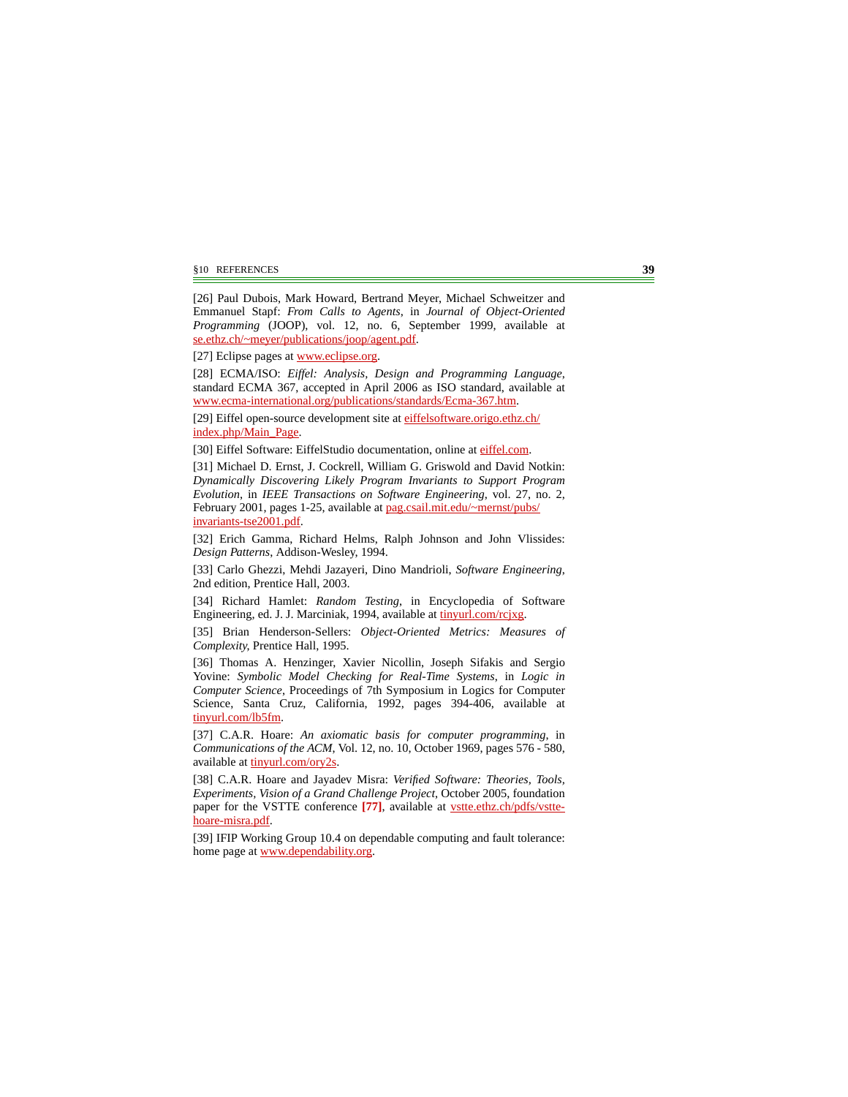[26] Paul Dubois, Mark Howard, Bertrand Meyer, Michael Schweitzer and Emmanuel Stapf: *From Calls to Agents*, in *Journal of Object-Oriented Programming* (JOOP), vol. 12, no. 6, September 1999, available at [se.ethz.ch/~meyer/publications/joop/agent.pdf.](http://se.ethz.ch/~meyer/publications/joop/agent.pdf)

<span id="page-38-5"></span>[27] Eclipse pages at [www.eclipse.org](http://www.eclipse.org).

<span id="page-38-10"></span>[28] ECMA/ISO: *Eiffel: Analysis, Design and Programming Language*, standard ECMA 367, accepted in April 2006 as ISO standard, available at [www.ecma-international.org/publications/standards/Ecma-367.htm.](http://www.ecma-international.org/publications/standards/Ecma-367.htm)

<span id="page-38-11"></span>[29] Eiffel open-source development site at [eiffelsoftware.origo.ethz.ch/](http://eiffelsoftware.origo.ethz.ch/) [index.php/Main\\_Page.](http://eiffelsoftware.origo.ethz.ch/)

<span id="page-38-4"></span>[30] Eiffel Software: EiffelStudio documentation, online at [eiffel.com.](http://www.eiffel.com)

<span id="page-38-7"></span>[31] Michael D. Ernst, J. Cockrell, William G. Griswold and David Notkin: *Dynamically Discovering Likely Program Invariants to Support Program Evolution*, in *IEEE Transactions on Software Engineering*, vol. 27, no. 2, February 2001, pages 1-25, available at [pag.csail.mit.edu/~mernst/pubs/](http://pag.csail.mit.edu/~mernst/pubs/invariants-tse2001.pdf) [invariants-tse2001.pdf.](http://pag.csail.mit.edu/~mernst/pubs/invariants-tse2001.pdf)

<span id="page-38-2"></span>[32] Erich Gamma, Richard Helms, Ralph Johnson and John Vlissides: *Design Patterns*, Addison-Wesley, 1994.

<span id="page-38-1"></span>[33] Carlo Ghezzi, Mehdi Jazayeri, Dino Mandrioli, *Software Engineering*, 2nd edition, Prentice Hall, 2003.

<span id="page-38-12"></span>[34] Richard Hamlet: *Random Testing*, in Encyclopedia of Software Engineering, ed. J. J. Marciniak, 1994, available at [tinyurl.com/rcjxg.](http://tinyurl.com/rcjxg)

<span id="page-38-3"></span>[35] Brian Henderson-Sellers: *Object-Oriented Metrics: Measures of Complexity*, Prentice Hall, 1995.

<span id="page-38-9"></span>[36] Thomas A. Henzinger, Xavier Nicollin, Joseph Sifakis and Sergio Yovine: *Symbolic Model Checking for Real-Time Systems*, in *Logic in Computer Science*, Proceedings of 7th Symposium in Logics for Computer Science, Santa Cruz, California, 1992, pages 394-406, available at [tinyurl.com/lb5fm.](http://tinyurl.com/lb5fm)

<span id="page-38-8"></span>[37] C.A.R. Hoare: *An axiomatic basis for computer programming*, in *Communications of the ACM*, Vol. 12, no. 10, October 1969, pages 576 - 580, available at [tinyurl.com/ory2s](http://tinyurl.com/ory2s).

<span id="page-38-6"></span>[38] C.A.R. Hoare and Jayadev Misra: *Verified Software: Theories, Tools, Experiments, Vision of a Grand Challenge Project*, October 2005, foundation paper for the VSTTE conference **[\[77\]](#page-41-7)**, available at [vstte.ethz.ch/pdfs/vstte](http://vstte.ethz.ch/pdfs/vstte-hoare-misra.pdf)[hoare-misra.pdf.](http://vstte.ethz.ch/pdfs/vstte-hoare-misra.pdf)

<span id="page-38-0"></span>[39] IFIP Working Group 10.4 on dependable computing and fault tolerance: home page at [www.dependability.org.](http://www.dependability.org)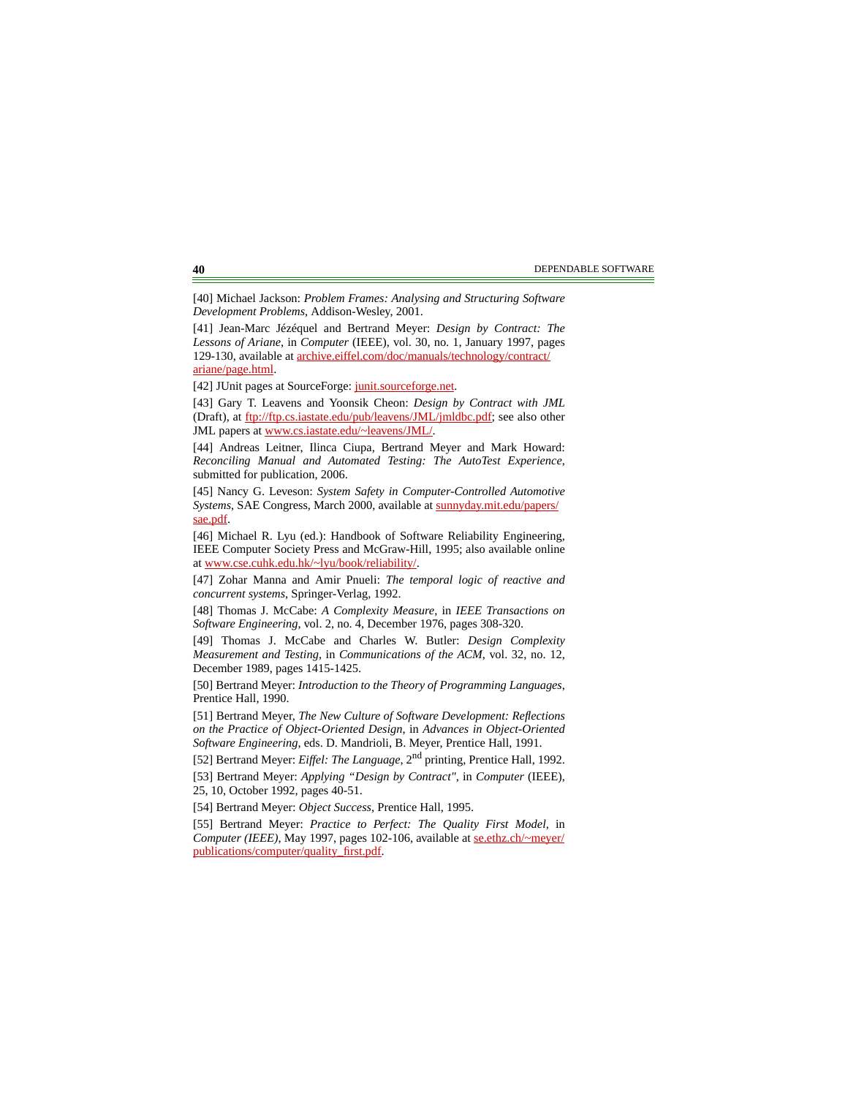<span id="page-39-4"></span>[40] Michael Jackson: *Problem Frames: Analysing and Structuring Software Development Problems*, Addison-Wesley, 2001.

<span id="page-39-11"></span>[41] Jean-Marc Jézéquel and Bertrand Meyer: *Design by Contract: The Lessons of Ariane*, in *Computer* (IEEE), vol. 30, no. 1, January 1997, pages 129-130, available at [archive.eiffel.com/doc/manuals/technology/contract/](http://archive.eiffel.com/doc/manuals/technology/contract/ariane/page.html) [ariane/page.html](http://archive.eiffel.com/doc/manuals/technology/contract/ariane/page.html).

<span id="page-39-13"></span>[42] JUnit pages at SourceForge: [junit.sourceforge.net](http://junit.sourceforge.net).

<span id="page-39-8"></span>[43] Gary T. Leavens and Yoonsik Cheon: *Design by Contract with JML* (Draft), at <ftp://ftp.cs.iastate.edu/pub/leavens/JML/jmldbc.pdf>; see also other JML papers at [www.cs.iastate.edu/~leavens/JML/.](http://www.cs.iastate.edu/~leavens/JML/)

<span id="page-39-14"></span>[44] Andreas Leitner, Ilinca Ciupa, Bertrand Meyer and Mark Howard: *Reconciling Manual and Automated Testing: The AutoTest Experience*, submitted for publication, 2006.

<span id="page-39-3"></span>[45] Nancy G. Leveson: *System Safety in Computer-Controlled Automotive Systems*, SAE Congress, March 2000, available at [sunnyday.mit.edu/papers/](http://sunnyday.mit.edu/papers/sae.pdf) [sae.pdf](http://sunnyday.mit.edu/papers/sae.pdf).

<span id="page-39-5"></span>[46] Michael R. Lyu (ed.): Handbook of Software Reliability Engineering, IEEE Computer Society Press and McGraw-Hill, 1995; also available online at [www.cse.cuhk.edu.hk/~lyu/book/reliability/.](http://www.cse.cuhk.edu.hk/~lyu/book/reliability/)

<span id="page-39-9"></span>[47] Zohar Manna and Amir Pnueli: *The temporal logic of reactive and concurrent systems*, Springer-Verlag, 1992.

<span id="page-39-6"></span>[48] Thomas J. McCabe: *A Complexity Measure*, in *IEEE Transactions on Software Engineering*, vol. 2, no. 4, December 1976, pages 308-320.

<span id="page-39-7"></span>[49] Thomas J. McCabe and Charles W. Butler: *Design Complexity Measurement and Testing*, in *Communications of the ACM*, vol. 32, no. 12, December 1989, pages 1415-1425.

[50] Bertrand Meyer: *Introduction to the Theory of Programming Languages*, Prentice Hall, 1990.

<span id="page-39-0"></span>[51] Bertrand Meyer, *The New Culture of Software Development: Reflections on the Practice of Object-Oriented Design*, in *Advances in Object-Oriented Software Engineering*, eds. D. Mandrioli, B. Meyer, Prentice Hall, 1991.

<span id="page-39-12"></span>[52] Bertrand Meyer: *Eiffel: The Language*, 2nd printing, Prentice Hall, 1992.

<span id="page-39-10"></span>[53] Bertrand Meyer: *Applying "Design by Contract"*, in *Computer* (IEEE), 25, 10, October 1992, pages 40-51.

<span id="page-39-1"></span>[54] Bertrand Meyer: *Object Success*, Prentice Hall, 1995.

<span id="page-39-2"></span>[55] Bertrand Meyer: *Practice to Perfect: The Quality First Model,* in *Computer (IEEE)*, May 1997, pages 102-106, available at [se.ethz.ch/~meyer/](http://se.ethz.ch/~meyer/publications/computer/quality_first.pdf) [publications/computer/quality\\_first.pdf](http://se.ethz.ch/~meyer/publications/computer/quality_first.pdf).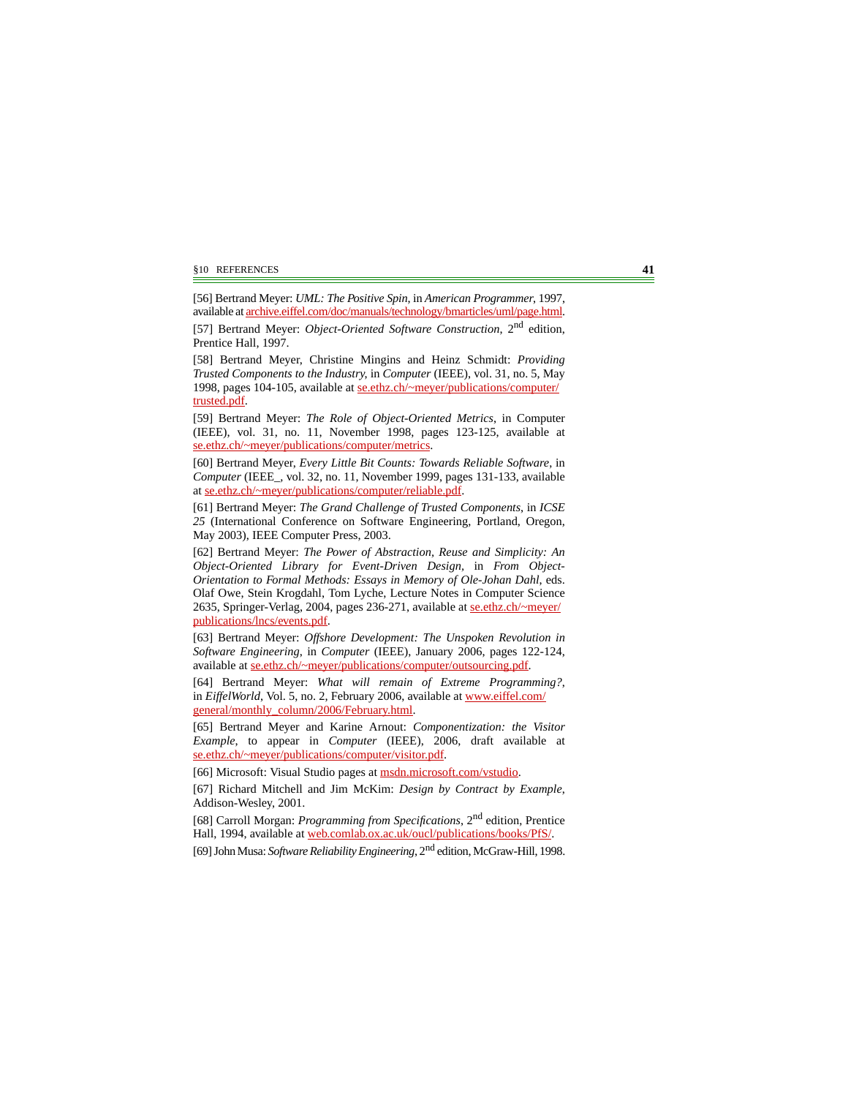<span id="page-40-2"></span>[56] Bertrand Meyer: *UML: The Positive Spin*, in *American Programmer*, 1997, available at [archive.eiffel.com/doc/manuals/technology/bmarticles/uml/page.html](http://archive.eiffel.com/doc/manuals/technology/bmarticles/uml/page.html).

<span id="page-40-1"></span>[57] Bertrand Meyer: *Object-Oriented Software Construction*, 2nd edition, Prentice Hall, 1997.

<span id="page-40-7"></span>[58] Bertrand Meyer, Christine Mingins and Heinz Schmidt: *Providing Trusted Components to the Industry*, in *Computer* (IEEE), vol. 31, no. 5, May 1998, pages 104-105, available at [se.ethz.ch/~meyer/publications/computer/](http://se.ethz.ch/~meyer/publications/computer/trusted.pdf) [trusted.pdf.](http://se.ethz.ch/~meyer/publications/computer/trusted.pdf)

<span id="page-40-10"></span>[59] Bertrand Meyer: *The Role of Object-Oriented Metrics*, in Computer (IEEE), vol. 31, no. 11, November 1998, pages 123-125, available at [se.ethz.ch/~meyer/publications/computer/metrics.](http://se.ethz.ch/~meyer/publications/computer/metrics)

<span id="page-40-0"></span>[60] Bertrand Meyer, *Every Little Bit Counts: Towards Reliable Software*, in *Computer* (IEEE\_, vol. 32, no. 11, November 1999, pages 131-133, available at [se.ethz.ch/~meyer/publications/computer/reliable.pdf.](http://se.ethz.ch/~meyer/publications/computer/reliable.pdf)

<span id="page-40-8"></span>[61] Bertrand Meyer: *The Grand Challenge of Trusted Components*, in *ICSE 25* (International Conference on Software Engineering, Portland, Oregon, May 2003), IEEE Computer Press, 2003.

<span id="page-40-6"></span>[62] Bertrand Meyer: *The Power of Abstraction, Reuse and Simplicity: An Object-Oriented Library for Event-Driven Design,* in *From Object-Orientation to Formal Methods: Essays in Memory of Ole-Johan Dahl*, eds. Olaf Owe, Stein Krogdahl, Tom Lyche, Lecture Notes in Computer Science 2635, Springer-Verlag, 2004, pages 236-271, available at [se.ethz.ch/~meyer/](http://se.ethz.ch/~meyer/publications/lncs/events.pdf) [publications/lncs/events.pdf](http://se.ethz.ch/~meyer/publications/lncs/events.pdf).

<span id="page-40-3"></span>[63] Bertrand Meyer: *Offshore Development: The Unspoken Revolution in Software Engineering*, in *Computer* (IEEE), January 2006, pages 122-124, available at [se.ethz.ch/~meyer/publications/computer/outsourcing.pdf.](http://se.ethz.ch/~meyer/publications/computer/outsourcing.pdf)

<span id="page-40-4"></span>[64] Bertrand Meyer: *What will remain of Extreme Programming?*, in *EiffelWorld*, Vol. 5, no. 2, February 2006, available at [www.eiffel.com/](http://www.eiffel.com/general/monthly_column/2006/February.html) [general/monthly\\_column/2006/February.html](http://www.eiffel.com/general/monthly_column/2006/February.html).

<span id="page-40-5"></span>[65] Bertrand Meyer and Karine Arnout: *Componentization: the Visitor Example*, to appear in *Computer* (IEEE), 2006, draft available at [se.ethz.ch/~meyer/publications/computer/visitor.pdf](http://se.ethz.ch/~meyer/publications/computer/visitor.pdf).

<span id="page-40-11"></span>[66] Microsoft: Visual Studio pages at [msdn.microsoft.com/vstudio](http://msdn.microsoft.com/vstudio).

<span id="page-40-13"></span>[67] Richard Mitchell and Jim McKim: *Design by Contract by Example*, Addison-Wesley, 2001.

<span id="page-40-12"></span>[68] Carroll Morgan: *Programming from Specifications*, 2nd edition, Prentice Hall, 1994, available at [web.comlab.ox.ac.uk/oucl/publications/books/PfS/](http://web.comlab.ox.ac.uk/oucl/publications/books/PfS/).

<span id="page-40-9"></span>[69] John Musa: *Software Reliability Engineering*, 2nd edition, McGraw-Hill, 1998.